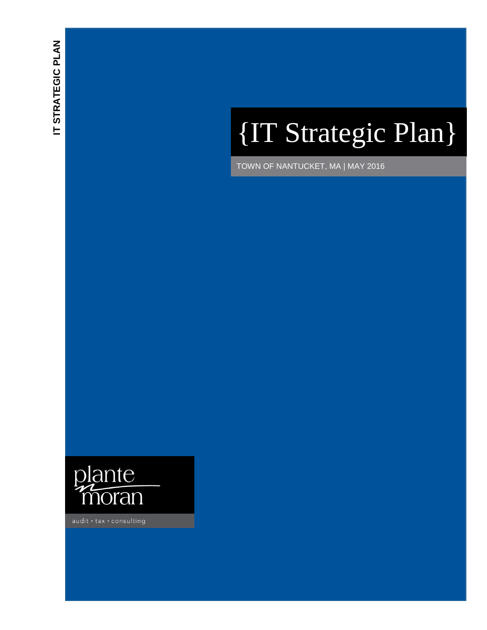# {IT Strategic Plan }

TOWN OF NANTUCKET, MA | MAY 2016



 $audit \cdot tax \cdot consulting$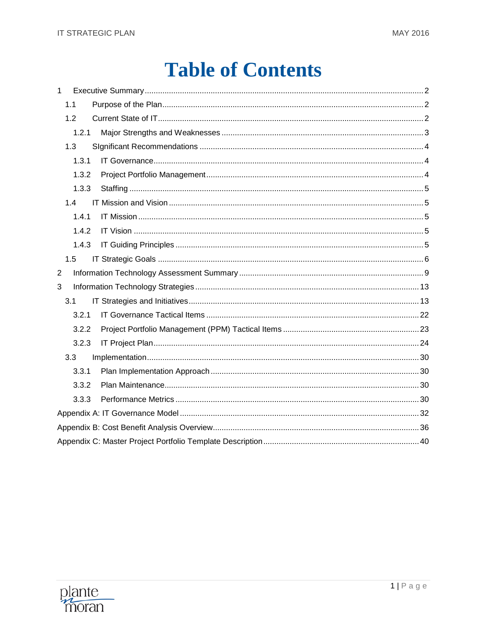# **Table of Contents**

| $\mathbf{1}$   |  |
|----------------|--|
| 1.1            |  |
| 1.2            |  |
| 1.2.1          |  |
| 1.3            |  |
| 1.3.1          |  |
| 1.3.2          |  |
| 1.3.3          |  |
| 1.4            |  |
| 1.4.1          |  |
| 1.4.2          |  |
| 1.4.3          |  |
|                |  |
| 1.5            |  |
| $\overline{2}$ |  |
| 3              |  |
| 3.1            |  |
| 3.2.1          |  |
| 3.2.2          |  |
| 3.2.3          |  |
| 3.3            |  |
| 3.3.1          |  |
| 3.3.2          |  |
| 3.3.3          |  |
|                |  |
|                |  |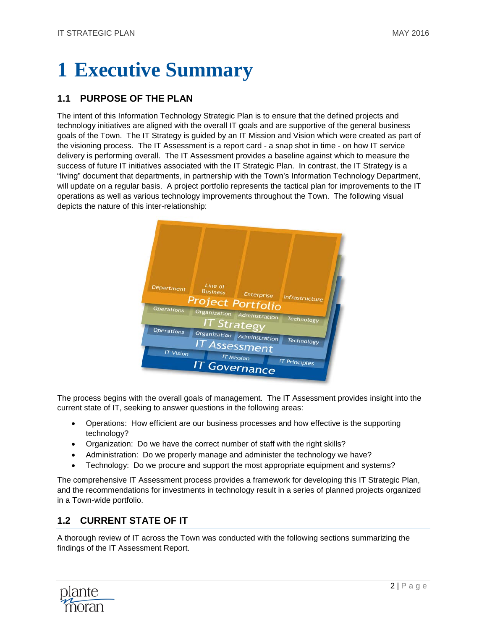# <span id="page-2-0"></span>**1 Executive Summary**

# <span id="page-2-1"></span>**1.1 PURPOSE OF THE PLAN**

The intent of this Information Technology Strategic Plan is to ensure that the defined projects and technology initiatives are aligned with the overall IT goals and are supportive of the general business goals of the Town. The IT Strategy is guided by an IT Mission and Vision which were created as part of the visioning process. The IT Assessment is a report card - a snap shot in time - on how IT service delivery is performing overall. The IT Assessment provides a baseline against which to measure the success of future IT initiatives associated with the IT Strategic Plan. In contrast, the IT Strategy is a "living" document that departments, in partnership with the Town's Information Technology Department, will update on a regular basis. A project portfolio represents the tactical plan for improvements to the IT operations as well as various technology improvements throughout the Town. The following visual depicts the nature of this inter-relationship:



The process begins with the overall goals of management. The IT Assessment provides insight into the current state of IT, seeking to answer questions in the following areas:

- Operations: How efficient are our business processes and how effective is the supporting technology?
- Organization: Do we have the correct number of staff with the right skills?
- Administration: Do we properly manage and administer the technology we have?
- Technology: Do we procure and support the most appropriate equipment and systems?

The comprehensive IT Assessment process provides a framework for developing this IT Strategic Plan, and the recommendations for investments in technology result in a series of planned projects organized in a Town-wide portfolio.

# <span id="page-2-2"></span>**1.2 CURRENT STATE OF IT**

A thorough review of IT across the Town was conducted with the following sections summarizing the findings of the IT Assessment Report.

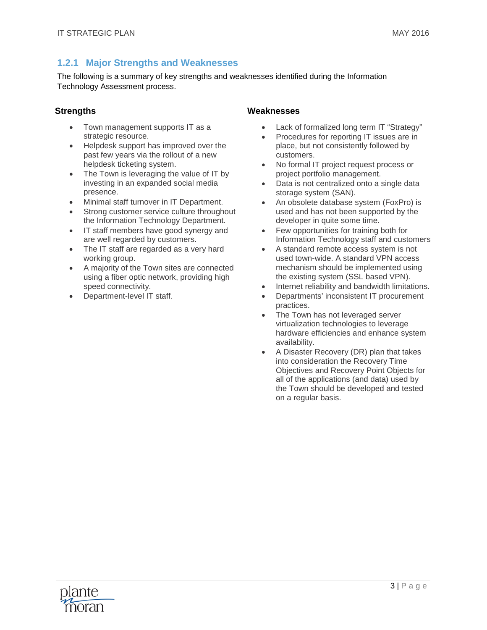# <span id="page-3-0"></span>**1.2.1 Major Strengths and Weaknesses**

The following is a summary of key strengths and weaknesses identified during the Information Technology Assessment process.

#### **Strengths**

- Town management supports IT as a strategic resource.
- Helpdesk support has improved over the past few years via the rollout of a new helpdesk ticketing system.
- The Town is leveraging the value of IT by investing in an expanded social media presence.
- Minimal staff turnover in IT Department.
- Strong customer service culture throughout the Information Technology Department.
- IT staff members have good synergy and are well regarded by customers.
- The IT staff are regarded as a very hard working group.
- A majority of the Town sites are connected using a fiber optic network, providing high speed connectivity.
- Department-level IT staff.

#### **Weaknesses**

- Lack of formalized long term IT "Strategy"
- Procedures for reporting IT issues are in place, but not consistently followed by customers.
- No formal IT project request process or project portfolio management.
- Data is not centralized onto a single data storage system (SAN).
- An obsolete database system (FoxPro) is used and has not been supported by the developer in quite some time.
- Few opportunities for training both for Information Technology staff and customers
- A standard remote access system is not used town-wide. A standard VPN access mechanism should be implemented using the existing system (SSL based VPN).
- Internet reliability and bandwidth limitations.
- Departments' inconsistent IT procurement practices.
- The Town has not leveraged server virtualization technologies to leverage hardware efficiencies and enhance system availability.
- A Disaster Recovery (DR) plan that takes into consideration the Recovery Time Objectives and Recovery Point Objects for all of the applications (and data) used by the Town should be developed and tested on a regular basis.

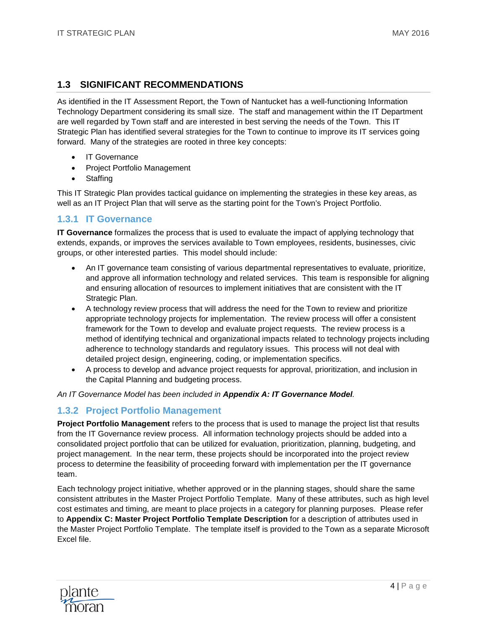# <span id="page-4-0"></span>**1.3 SIGNIFICANT RECOMMENDATIONS**

As identified in the IT Assessment Report, the Town of Nantucket has a well-functioning Information Technology Department considering its small size. The staff and management within the IT Department are well regarded by Town staff and are interested in best serving the needs of the Town. This IT Strategic Plan has identified several strategies for the Town to continue to improve its IT services going forward. Many of the strategies are rooted in three key concepts:

- **IT Governance**
- Project Portfolio Management
- Staffing

This IT Strategic Plan provides tactical guidance on implementing the strategies in these key areas, as well as an IT Project Plan that will serve as the starting point for the Town's Project Portfolio.

### <span id="page-4-1"></span>**1.3.1 IT Governance**

**IT Governance** formalizes the process that is used to evaluate the impact of applying technology that extends, expands, or improves the services available to Town employees, residents, businesses, civic groups, or other interested parties. This model should include:

- An IT governance team consisting of various departmental representatives to evaluate, prioritize, and approve all information technology and related services. This team is responsible for aligning and ensuring allocation of resources to implement initiatives that are consistent with the IT Strategic Plan.
- A technology review process that will address the need for the Town to review and prioritize appropriate technology projects for implementation. The review process will offer a consistent framework for the Town to develop and evaluate project requests. The review process is a method of identifying technical and organizational impacts related to technology projects including adherence to technology standards and regulatory issues. This process will not deal with detailed project design, engineering, coding, or implementation specifics.
- A process to develop and advance project requests for approval, prioritization, and inclusion in the Capital Planning and budgeting process.

#### *An IT Governance Model has been included in [Appendix A: IT Governance Model](#page-32-0).*

# <span id="page-4-2"></span>**1.3.2 Project Portfolio Management**

**Project Portfolio Management** refers to the process that is used to manage the project list that results from the IT Governance review process. All information technology projects should be added into a consolidated project portfolio that can be utilized for evaluation, prioritization, planning, budgeting, and project management. In the near term, these projects should be incorporated into the project review process to determine the feasibility of proceeding forward with implementation per the IT governance team.

Each technology project initiative, whether approved or in the planning stages, should share the same consistent attributes in the Master Project Portfolio Template. Many of these attributes, such as high level cost estimates and timing, are meant to place projects in a category for planning purposes. Please refer to **Appendix C: Master Project Portfolio Template Description** for a description of attributes used in the Master Project Portfolio Template. The template itself is provided to the Town as a separate Microsoft Excel file.

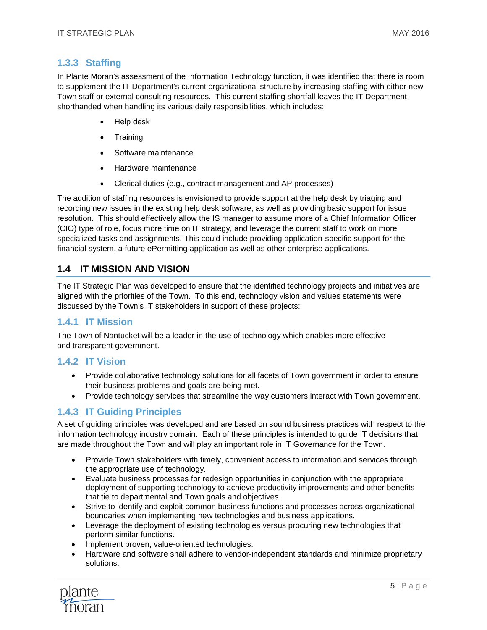## <span id="page-5-0"></span>**1.3.3 Staffing**

In Plante Moran's assessment of the Information Technology function, it was identified that there is room to supplement the IT Department's current organizational structure by increasing staffing with either new Town staff or external consulting resources. This current staffing shortfall leaves the IT Department shorthanded when handling its various daily responsibilities, which includes:

- Help desk
- Training
- Software maintenance
- Hardware maintenance
- Clerical duties (e.g., contract management and AP processes)

The addition of staffing resources is envisioned to provide support at the help desk by triaging and recording new issues in the existing help desk software, as well as providing basic support for issue resolution. This should effectively allow the IS manager to assume more of a Chief Information Officer (CIO) type of role, focus more time on IT strategy, and leverage the current staff to work on more specialized tasks and assignments. This could include providing application-specific support for the financial system, a future ePermitting application as well as other enterprise applications.

# <span id="page-5-1"></span>**1.4 IT MISSION AND VISION**

The IT Strategic Plan was developed to ensure that the identified technology projects and initiatives are aligned with the priorities of the Town. To this end, technology vision and values statements were discussed by the Town's IT stakeholders in support of these projects:

#### <span id="page-5-2"></span>**1.4.1 IT Mission**

The Town of Nantucket will be a leader in the use of technology which enables more effective and transparent government.

#### <span id="page-5-3"></span>**1.4.2 IT Vision**

- Provide collaborative technology solutions for all facets of Town government in order to ensure their business problems and goals are being met.
- Provide technology services that streamline the way customers interact with Town government.

# <span id="page-5-4"></span>**1.4.3 IT Guiding Principles**

A set of guiding principles was developed and are based on sound business practices with respect to the information technology industry domain. Each of these principles is intended to guide IT decisions that are made throughout the Town and will play an important role in IT Governance for the Town.

- Provide Town stakeholders with timely, convenient access to information and services through the appropriate use of technology.
- Evaluate business processes for redesign opportunities in conjunction with the appropriate deployment of supporting technology to achieve productivity improvements and other benefits that tie to departmental and Town goals and objectives.
- Strive to identify and exploit common business functions and processes across organizational boundaries when implementing new technologies and business applications.
- Leverage the deployment of existing technologies versus procuring new technologies that perform similar functions.
- Implement proven, value-oriented technologies.
- Hardware and software shall adhere to vendor-independent standards and minimize proprietary solutions.

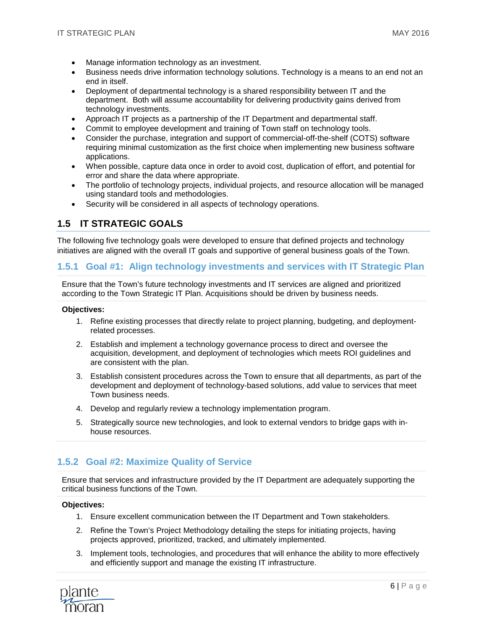- Manage information technology as an investment.
- Business needs drive information technology solutions. Technology is a means to an end not an end in itself.
- Deployment of departmental technology is a shared responsibility between IT and the department. Both will assume accountability for delivering productivity gains derived from technology investments.
- Approach IT projects as a partnership of the IT Department and departmental staff.
- Commit to employee development and training of Town staff on technology tools.
- Consider the purchase, integration and support of commercial-off-the-shelf (COTS) software requiring minimal customization as the first choice when implementing new business software applications.
- When possible, capture data once in order to avoid cost, duplication of effort, and potential for error and share the data where appropriate.
- The portfolio of technology projects, individual projects, and resource allocation will be managed using standard tools and methodologies.
- Security will be considered in all aspects of technology operations.

# <span id="page-6-0"></span>**1.5 IT STRATEGIC GOALS**

The following five technology goals were developed to ensure that defined projects and technology initiatives are aligned with the overall IT goals and supportive of general business goals of the Town.

#### **1.5.1 Goal #1: Align technology investments and services with IT Strategic Plan**

Ensure that the Town's future technology investments and IT services are aligned and prioritized according to the Town Strategic IT Plan. Acquisitions should be driven by business needs.

#### **Objectives:**

- 1. Refine existing processes that directly relate to project planning, budgeting, and deploymentrelated processes.
- 2. Establish and implement a technology governance process to direct and oversee the acquisition, development, and deployment of technologies which meets ROI guidelines and are consistent with the plan.
- 3. Establish consistent procedures across the Town to ensure that all departments, as part of the development and deployment of technology-based solutions, add value to services that meet Town business needs.
- 4. Develop and regularly review a technology implementation program.
- 5. Strategically source new technologies, and look to external vendors to bridge gaps with inhouse resources.

# **1.5.2 Goal #2: Maximize Quality of Service**

Ensure that services and infrastructure provided by the IT Department are adequately supporting the critical business functions of the Town.

#### **Objectives:**

- 1. Ensure excellent communication between the IT Department and Town stakeholders.
- 2. Refine the Town's Project Methodology detailing the steps for initiating projects, having projects approved, prioritized, tracked, and ultimately implemented.
- 3. Implement tools, technologies, and procedures that will enhance the ability to more effectively and efficiently support and manage the existing IT infrastructure.

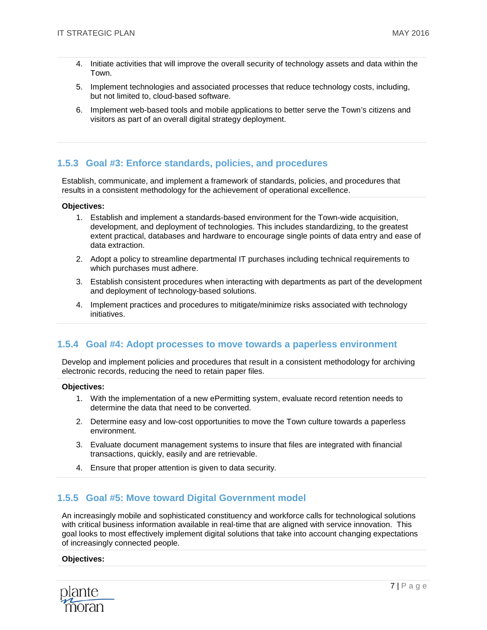- 4. Initiate activities that will improve the overall security of technology assets and data within the Town.
- 5. Implement technologies and associated processes that reduce technology costs, including, but not limited to, cloud-based software.
- 6. Implement web-based tools and mobile applications to better serve the Town's citizens and visitors as part of an overall digital strategy deployment.

## **1.5.3 Goal #3: Enforce standards, policies, and procedures**

Establish, communicate, and implement a framework of standards, policies, and procedures that results in a consistent methodology for the achievement of operational excellence.

#### **Objectives:**

- 1. Establish and implement a standards-based environment for the Town-wide acquisition, development, and deployment of technologies. This includes standardizing, to the greatest extent practical, databases and hardware to encourage single points of data entry and ease of data extraction.
- 2. Adopt a policy to streamline departmental IT purchases including technical requirements to which purchases must adhere.
- 3. Establish consistent procedures when interacting with departments as part of the development and deployment of technology-based solutions.
- 4. Implement practices and procedures to mitigate/minimize risks associated with technology initiatives.

#### **1.5.4 Goal #4: Adopt processes to move towards a paperless environment**

Develop and implement policies and procedures that result in a consistent methodology for archiving electronic records, reducing the need to retain paper files.

#### **Objectives:**

- 1. With the implementation of a new ePermitting system, evaluate record retention needs to determine the data that need to be converted.
- 2. Determine easy and low-cost opportunities to move the Town culture towards a paperless environment.
- 3. Evaluate document management systems to insure that files are integrated with financial transactions, quickly, easily and are retrievable.
- 4. Ensure that proper attention is given to data security.

#### **1.5.5 Goal #5: Move toward Digital Government model**

An increasingly mobile and sophisticated constituency and workforce calls for technological solutions with critical business information available in real-time that are aligned with service innovation. This goal looks to most effectively implement digital solutions that take into account changing expectations of increasingly connected people.

#### **Objectives:**

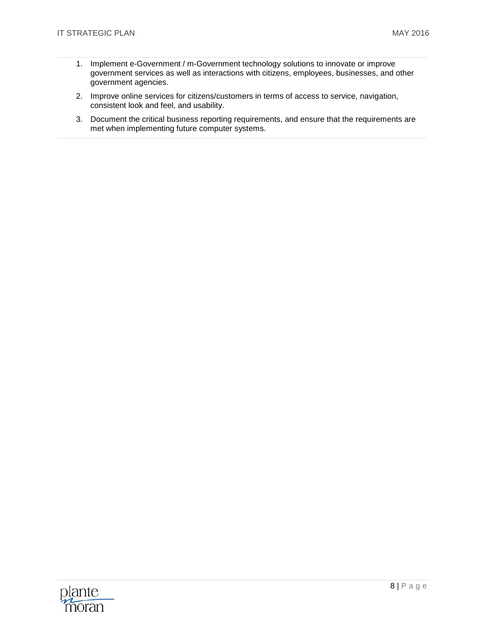- 1. Implement e-Government / m-Government technology solutions to innovate or improve government services as well as interactions with citizens, employees, businesses, and other government agencies.
- 2. Improve online services for citizens/customers in terms of access to service, navigation, consistent look and feel, and usability.
- 3. Document the critical business reporting requirements, and ensure that the requirements are met when implementing future computer systems.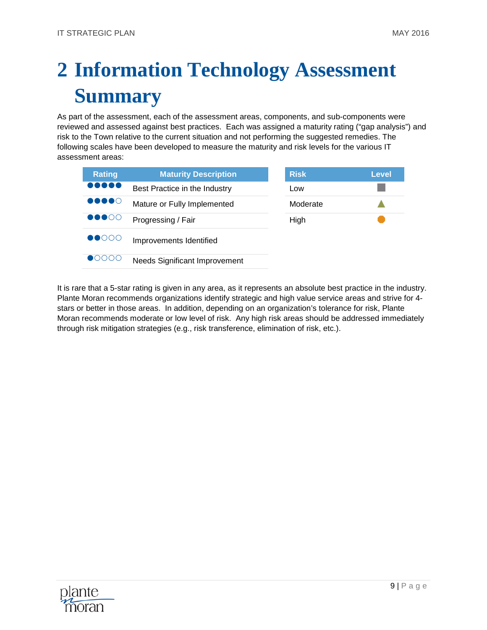# <span id="page-9-0"></span>**2 Information Technology Assessment Summary**

As part of the assessment, each of the assessment areas, components, and sub-components were reviewed and assessed against best practices. Each was assigned a maturity rating ("gap analysis") and risk to the Town relative to the current situation and not performing the suggested remedies. The following scales have been developed to measure the maturity and risk levels for the various IT assessment areas:

| <b>Rating</b>                       | <b>Maturity Description</b>          | <b>Risk</b> | Level |
|-------------------------------------|--------------------------------------|-------------|-------|
|                                     | Best Practice in the Industry        | Low         |       |
| $\bullet\bullet\bullet\bullet\circ$ | Mature or Fully Implemented          | Moderate    |       |
| $\bullet\bullet\bullet\circ\circ$   | Progressing / Fair                   | High        |       |
| $\bullet$ 0000                      | Improvements Identified              |             |       |
|                                     | <b>Needs Significant Improvement</b> |             |       |

It is rare that a 5-star rating is given in any area, as it represents an absolute best practice in the industry. Plante Moran recommends organizations identify strategic and high value service areas and strive for 4 stars or better in those areas. In addition, depending on an organization's tolerance for risk, Plante Moran recommends moderate or low level of risk. Any high risk areas should be addressed immediately through risk mitigation strategies (e.g., risk transference, elimination of risk, etc.).

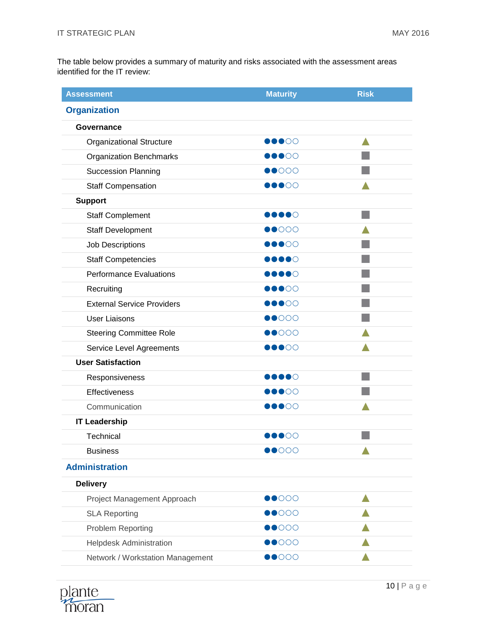The table below provides a summary of maturity and risks associated with the assessment areas identified for the IT review:

| <b>Assessment</b>                 | <b>Maturity</b>                   | <b>Risk</b> |  |  |  |  |  |
|-----------------------------------|-----------------------------------|-------------|--|--|--|--|--|
| <b>Organization</b>               |                                   |             |  |  |  |  |  |
| Governance                        |                                   |             |  |  |  |  |  |
| <b>Organizational Structure</b>   | 00000                             |             |  |  |  |  |  |
| <b>Organization Benchmarks</b>    | DOOOO                             |             |  |  |  |  |  |
| <b>Succession Planning</b>        | $\bullet$ 000                     |             |  |  |  |  |  |
| <b>Staff Compensation</b>         | $\bullet\bullet\circ\circ$        |             |  |  |  |  |  |
| <b>Support</b>                    |                                   |             |  |  |  |  |  |
| <b>Staff Complement</b>           | $\bullet\bullet\bullet\circ$      |             |  |  |  |  |  |
| <b>Staff Development</b>          | $\bullet$ 000                     |             |  |  |  |  |  |
| Job Descriptions                  | <b>DOOO</b>                       |             |  |  |  |  |  |
| <b>Staff Competencies</b>         | 0000                              |             |  |  |  |  |  |
| <b>Performance Evaluations</b>    | DOOOO                             |             |  |  |  |  |  |
| Recruiting                        | $\bullet\bullet\circ\circ$        |             |  |  |  |  |  |
| <b>External Service Providers</b> | 00000                             |             |  |  |  |  |  |
| <b>User Liaisons</b>              | $\bullet$ 000                     |             |  |  |  |  |  |
| <b>Steering Committee Role</b>    | $\bullet$ 000                     |             |  |  |  |  |  |
| Service Level Agreements          | $\bullet\bullet\circ\circ$        |             |  |  |  |  |  |
| <b>User Satisfaction</b>          |                                   |             |  |  |  |  |  |
| Responsiveness                    | ∙●●●○                             |             |  |  |  |  |  |
| Effectiveness                     | 00000                             |             |  |  |  |  |  |
| Communication                     | $\bullet\bullet\bullet\circ\circ$ |             |  |  |  |  |  |
| <b>IT Leadership</b>              |                                   |             |  |  |  |  |  |
| Technical                         | $\bullet\bullet\circ\circ$        |             |  |  |  |  |  |
| <b>Business</b>                   | $\bullet$ 000                     |             |  |  |  |  |  |
| <b>Administration</b>             |                                   |             |  |  |  |  |  |
| <b>Delivery</b>                   |                                   |             |  |  |  |  |  |
| Project Management Approach       | $\bullet$ 000                     |             |  |  |  |  |  |
| <b>SLA Reporting</b>              | $\bullet$ 000                     |             |  |  |  |  |  |
| <b>Problem Reporting</b>          | $\bullet$ 000                     |             |  |  |  |  |  |
| <b>Helpdesk Administration</b>    | $\bullet$ 000                     |             |  |  |  |  |  |
| Network / Workstation Management  | $\bullet$ 000                     |             |  |  |  |  |  |

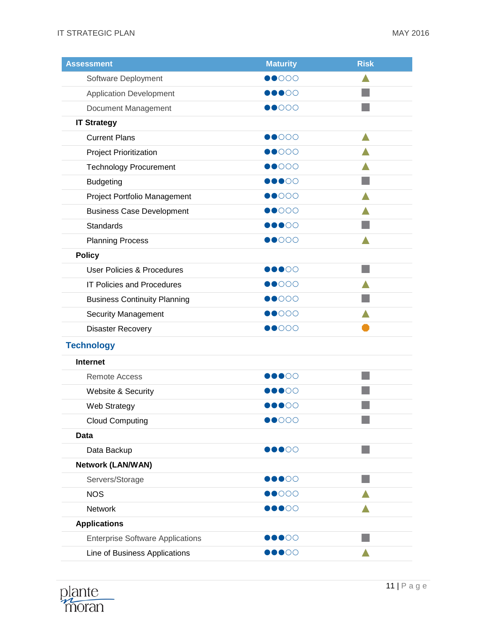| <b>Assessment</b>                       | <b>Maturity</b>                   | <b>Risk</b> |
|-----------------------------------------|-----------------------------------|-------------|
| Software Deployment                     | $\bullet$ 000                     |             |
| <b>Application Development</b>          | $\bullet\bullet\circ\circ$        |             |
| Document Management                     | $\bullet$ 000                     |             |
| <b>IT Strategy</b>                      |                                   |             |
| <b>Current Plans</b>                    | $\bullet$ 000                     |             |
| <b>Project Prioritization</b>           | $\bullet$ 000                     |             |
| <b>Technology Procurement</b>           | $\bullet$ 000                     |             |
| <b>Budgeting</b>                        | DOOOO                             |             |
| Project Portfolio Management            | $\bullet$ 000                     |             |
| <b>Business Case Development</b>        | $\bullet$ 000                     |             |
| <b>Standards</b>                        | $\bullet\bullet\circ\circ\circ$   |             |
| <b>Planning Process</b>                 | $\bullet$ 000                     |             |
| <b>Policy</b>                           |                                   |             |
| <b>User Policies &amp; Procedures</b>   | $\bullet\bullet\bullet\circ\circ$ |             |
| <b>IT Policies and Procedures</b>       | $\bullet$ 000                     |             |
| <b>Business Continuity Planning</b>     | $\bullet$ 000                     |             |
| <b>Security Management</b>              | $\bullet$ 000                     |             |
| <b>Disaster Recovery</b>                | $\bullet$ 000                     |             |
| <b>Technology</b>                       |                                   |             |
| <b>Internet</b>                         |                                   |             |
| <b>Remote Access</b>                    | <b>DOOO</b>                       |             |
| Website & Security                      | $\bullet$ 00                      |             |
| Web Strategy                            | $\bullet\bullet\circ\circ$        |             |
| <b>Cloud Computing</b>                  | $\bullet$ 000                     |             |
| Data                                    |                                   |             |
| Data Backup                             | $\bullet\bullet\circ\circ$        |             |
| <b>Network (LAN/WAN)</b>                |                                   |             |
| Servers/Storage                         | $\bullet\bullet\circ\circ$        |             |
| <b>NOS</b>                              | $\bullet$ 000                     |             |
| Network                                 | $\bullet\bullet\circ\circ$        |             |
| <b>Applications</b>                     |                                   |             |
| <b>Enterprise Software Applications</b> | $\bullet\bullet\circ\circ\circ$   |             |
| Line of Business Applications           | DOOOO                             |             |

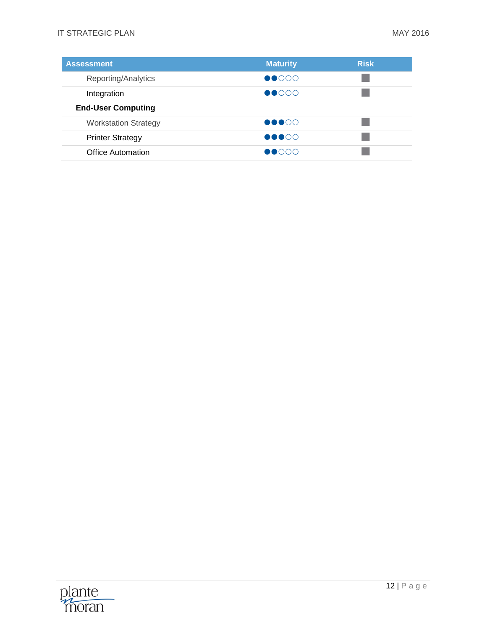| <b>Assessment</b>           | <b>Maturity</b>                             | <b>Risk</b> |
|-----------------------------|---------------------------------------------|-------------|
| Reporting/Analytics         | $\bullet$ 000                               |             |
| Integration                 | $\bullet$ 000                               |             |
| <b>End-User Computing</b>   |                                             |             |
| <b>Workstation Strategy</b> | $\bullet\bullet\bullet\circ\circ$           |             |
| <b>Printer Strategy</b>     | $\bullet\bullet\bullet\circ\circ$           |             |
| <b>Office Automation</b>    | $\bigcirc$ $\bigcirc$ $\bigcirc$ $\bigcirc$ |             |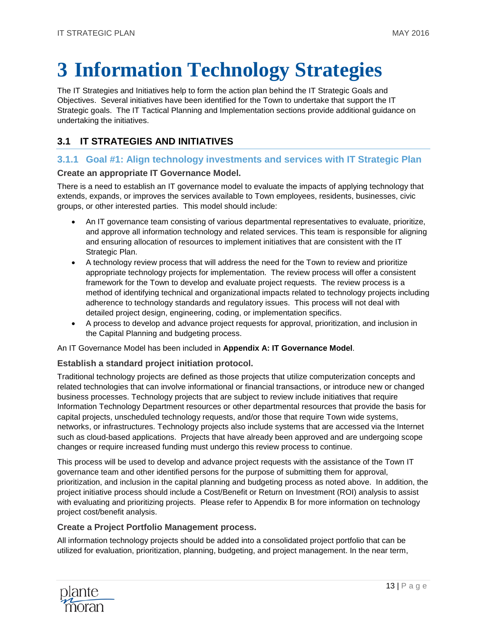# <span id="page-13-0"></span>**3 Information Technology Strategies**

The IT Strategies and Initiatives help to form the action plan behind the IT Strategic Goals and Objectives. Several initiatives have been identified for the Town to undertake that support the IT Strategic goals. The IT Tactical Planning and Implementation sections provide additional guidance on undertaking the initiatives.

# <span id="page-13-1"></span>**3.1 IT STRATEGIES AND INITIATIVES**

# **3.1.1 Goal #1: Align technology investments and services with IT Strategic Plan**

### **Create an appropriate IT Governance Model.**

There is a need to establish an IT governance model to evaluate the impacts of applying technology that extends, expands, or improves the services available to Town employees, residents, businesses, civic groups, or other interested parties. This model should include:

- An IT governance team consisting of various departmental representatives to evaluate, prioritize, and approve all information technology and related services. This team is responsible for aligning and ensuring allocation of resources to implement initiatives that are consistent with the IT Strategic Plan.
- A technology review process that will address the need for the Town to review and prioritize appropriate technology projects for implementation. The review process will offer a consistent framework for the Town to develop and evaluate project requests. The review process is a method of identifying technical and organizational impacts related to technology projects including adherence to technology standards and regulatory issues. This process will not deal with detailed project design, engineering, coding, or implementation specifics.
- A process to develop and advance project requests for approval, prioritization, and inclusion in the Capital Planning and budgeting process.

An IT Governance Model has been included in **[Appendix A: IT Governance Model](#page-32-0)**.

#### **Establish a standard project initiation protocol.**

Traditional technology projects are defined as those projects that utilize computerization concepts and related technologies that can involve informational or financial transactions, or introduce new or changed business processes. Technology projects that are subject to review include initiatives that require Information Technology Department resources or other departmental resources that provide the basis for capital projects, unscheduled technology requests, and/or those that require Town wide systems, networks, or infrastructures. Technology projects also include systems that are accessed via the Internet such as cloud-based applications. Projects that have already been approved and are undergoing scope changes or require increased funding must undergo this review process to continue.

This process will be used to develop and advance project requests with the assistance of the Town IT governance team and other identified persons for the purpose of submitting them for approval, prioritization, and inclusion in the capital planning and budgeting process as noted above. In addition, the project initiative process should include a Cost/Benefit or Return on Investment (ROI) analysis to assist with evaluating and prioritizing projects. Please refer to Appendix B for more information on technology project cost/benefit analysis.

#### **Create a Project Portfolio Management process.**

All information technology projects should be added into a consolidated project portfolio that can be utilized for evaluation, prioritization, planning, budgeting, and project management. In the near term,

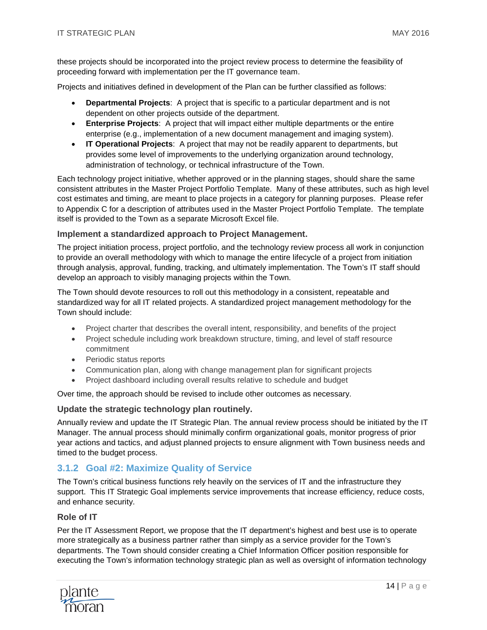these projects should be incorporated into the project review process to determine the feasibility of proceeding forward with implementation per the IT governance team.

Projects and initiatives defined in development of the Plan can be further classified as follows:

- **Departmental Projects**: A project that is specific to a particular department and is not dependent on other projects outside of the department.
- **Enterprise Projects**: A project that will impact either multiple departments or the entire enterprise (e.g., implementation of a new document management and imaging system).
- **IT Operational Projects**: A project that may not be readily apparent to departments, but provides some level of improvements to the underlying organization around technology, administration of technology, or technical infrastructure of the Town.

Each technology project initiative, whether approved or in the planning stages, should share the same consistent attributes in the Master Project Portfolio Template. Many of these attributes, such as high level cost estimates and timing, are meant to place projects in a category for planning purposes. Please refer to Appendix C for a description of attributes used in the Master Project Portfolio Template. The template itself is provided to the Town as a separate Microsoft Excel file.

#### **Implement a standardized approach to Project Management.**

The project initiation process, project portfolio, and the technology review process all work in conjunction to provide an overall methodology with which to manage the entire lifecycle of a project from initiation through analysis, approval, funding, tracking, and ultimately implementation. The Town's IT staff should develop an approach to visibly managing projects within the Town.

The Town should devote resources to roll out this methodology in a consistent, repeatable and standardized way for all IT related projects. A standardized project management methodology for the Town should include:

- Project charter that describes the overall intent, responsibility, and benefits of the project
- Project schedule including work breakdown structure, timing, and level of staff resource commitment
- Periodic status reports
- Communication plan, along with change management plan for significant projects
- Project dashboard including overall results relative to schedule and budget

Over time, the approach should be revised to include other outcomes as necessary.

#### **Update the strategic technology plan routinely.**

Annually review and update the IT Strategic Plan. The annual review process should be initiated by the IT Manager. The annual process should minimally confirm organizational goals, monitor progress of prior year actions and tactics, and adjust planned projects to ensure alignment with Town business needs and timed to the budget process.

#### **3.1.2 Goal #2: Maximize Quality of Service**

The Town's critical business functions rely heavily on the services of IT and the infrastructure they support. This IT Strategic Goal implements service improvements that increase efficiency, reduce costs, and enhance security.

#### **Role of IT**

Per the IT Assessment Report, we propose that the IT department's highest and best use is to operate more strategically as a business partner rather than simply as a service provider for the Town's departments. The Town should consider creating a Chief Information Officer position responsible for executing the Town's information technology strategic plan as well as oversight of information technology

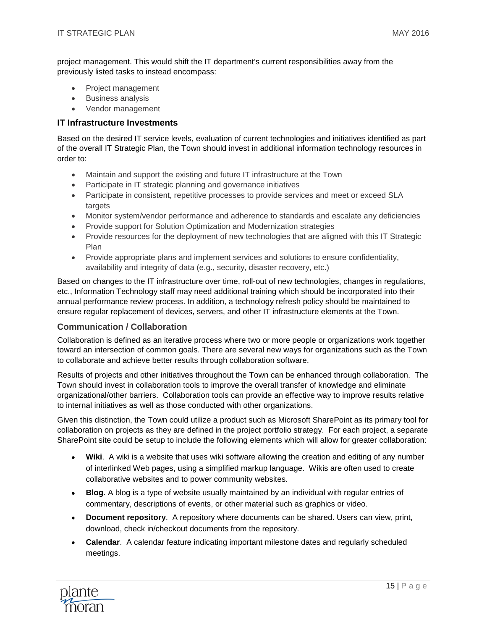project management. This would shift the IT department's current responsibilities away from the previously listed tasks to instead encompass:

- Project management
- Business analysis
- Vendor management

#### **IT Infrastructure Investments**

Based on the desired IT service levels, evaluation of current technologies and initiatives identified as part of the overall IT Strategic Plan, the Town should invest in additional information technology resources in order to:

- Maintain and support the existing and future IT infrastructure at the Town
- Participate in IT strategic planning and governance initiatives
- Participate in consistent, repetitive processes to provide services and meet or exceed SLA targets
- Monitor system/vendor performance and adherence to standards and escalate any deficiencies
- Provide support for Solution Optimization and Modernization strategies
- Provide resources for the deployment of new technologies that are aligned with this IT Strategic Plan
- Provide appropriate plans and implement services and solutions to ensure confidentiality, availability and integrity of data (e.g., security, disaster recovery, etc.)

Based on changes to the IT infrastructure over time, roll-out of new technologies, changes in regulations, etc., Information Technology staff may need additional training which should be incorporated into their annual performance review process. In addition, a technology refresh policy should be maintained to ensure regular replacement of devices, servers, and other IT infrastructure elements at the Town.

#### **Communication / Collaboration**

Collaboration is defined as an iterative process where two or more people or organizations work together toward an intersection of common goals. There are several new ways for organizations such as the Town to collaborate and achieve better results through collaboration software.

Results of projects and other initiatives throughout the Town can be enhanced through collaboration. The Town should invest in collaboration tools to improve the overall transfer of knowledge and eliminate organizational/other barriers. Collaboration tools can provide an effective way to improve results relative to internal initiatives as well as those conducted with other organizations.

Given this distinction, the Town could utilize a product such as Microsoft SharePoint as its primary tool for collaboration on projects as they are defined in the project portfolio strategy. For each project, a separate SharePoint site could be setup to include the following elements which will allow for greater collaboration:

- **Wiki**. A wiki is a [website](http://en.wikipedia.org/wiki/Website) that uses [wiki software](http://en.wikipedia.org/wiki/Wiki_software) allowing the creation and editing of any number of [interlinked](http://en.wikipedia.org/wiki/Free_links) [Web pages,](http://en.wikipedia.org/wiki/Web_page) using a simplified [markup language.](http://en.wikipedia.org/wiki/Markup_language) Wikis are often used to create [collaborative](http://en.wikipedia.org/wiki/Collaboration) [websites](http://en.wikipedia.org/wiki/Website) and to power community websites.
- **Blog**. A blog is a type of website usually maintained by an individual with regular entries of commentary, descriptions of events, or other material such as graphics or video.
- **Document repository**. A repository where documents can be shared. Users can view, print, download, check in/checkout documents from the repository.
- **Calendar**. A calendar feature indicating important milestone dates and regularly scheduled meetings.

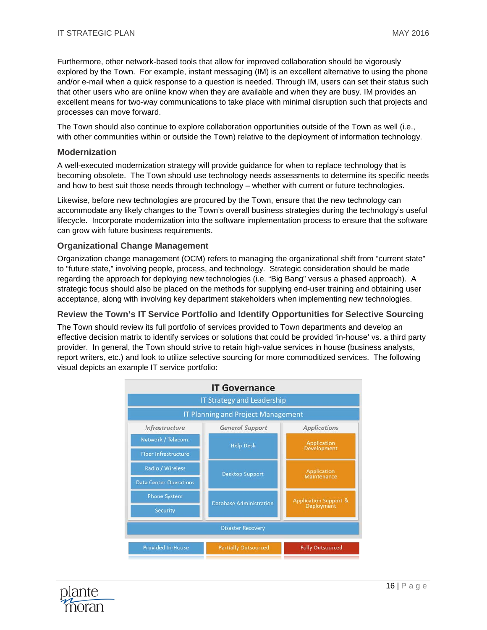Furthermore, other network-based tools that allow for improved collaboration should be vigorously explored by the Town. For example, instant messaging (IM) is an excellent alternative to using the phone and/or e-mail when a quick response to a question is needed. Through IM, users can set their status such that other users who are online know when they are available and when they are busy. IM provides an excellent means for two-way communications to take place with minimal disruption such that projects and processes can move forward.

The Town should also continue to explore collaboration opportunities outside of the Town as well (i.e., with other communities within or outside the Town) relative to the deployment of information technology.

#### **Modernization**

A well-executed modernization strategy will provide guidance for when to replace technology that is becoming obsolete. The Town should use technology needs assessments to determine its specific needs and how to best suit those needs through technology – whether with current or future technologies.

Likewise, before new technologies are procured by the Town, ensure that the new technology can accommodate any likely changes to the Town's overall business strategies during the technology's useful lifecycle. Incorporate modernization into the software implementation process to ensure that the software can grow with future business requirements.

#### **Organizational Change Management**

Organization change management (OCM) refers to managing the organizational shift from "current state" to "future state," involving people, process, and technology. Strategic consideration should be made regarding the approach for deploying new technologies (i.e. "Big Bang" versus a phased approach). A strategic focus should also be placed on the methods for supplying end-user training and obtaining user acceptance, along with involving key department stakeholders when implementing new technologies.

#### **Review the Town's IT Service Portfolio and Identify Opportunities for Selective Sourcing**

The Town should review its full portfolio of services provided to Town departments and develop an effective decision matrix to identify services or solutions that could be provided 'in-house' vs. a third party provider. In general, the Town should strive to retain high-value services in house (business analysts, report writers, etc.) and look to utilize selective sourcing for more commoditized services. The following visual depicts an example IT service portfolio:



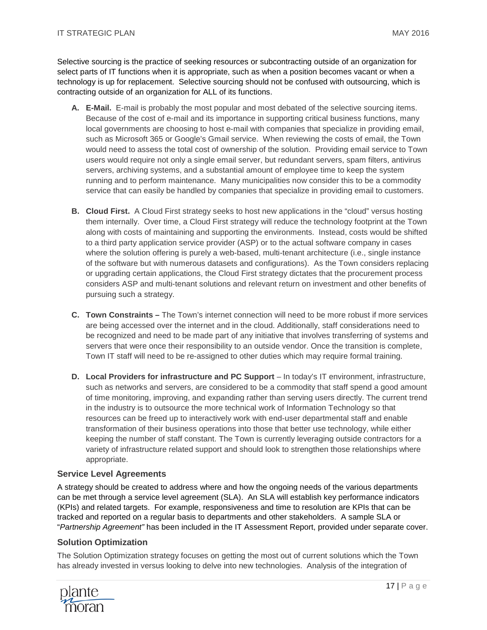Selective sourcing is the practice of seeking resources or subcontracting outside of an organization for select parts of IT functions when it is appropriate, such as when a position becomes vacant or when a technology is up for replacement. Selective sourcing should not be confused with outsourcing, which is contracting outside of an organization for ALL of its functions.

- **A. E-Mail.** E-mail is probably the most popular and most debated of the selective sourcing items. Because of the cost of e-mail and its importance in supporting critical business functions, many local governments are choosing to host e-mail with companies that specialize in providing email, such as Microsoft 365 or Google's Gmail service. When reviewing the costs of email, the Town would need to assess the total cost of ownership of the solution. Providing email service to Town users would require not only a single email server, but redundant servers, spam filters, antivirus servers, archiving systems, and a substantial amount of employee time to keep the system running and to perform maintenance. Many municipalities now consider this to be a commodity service that can easily be handled by companies that specialize in providing email to customers.
- **B. Cloud First.** A Cloud First strategy seeks to host new applications in the "cloud" versus hosting them internally. Over time, a Cloud First strategy will reduce the technology footprint at the Town along with costs of maintaining and supporting the environments. Instead, costs would be shifted to a third party application service provider (ASP) or to the actual software company in cases where the solution offering is purely a web-based, multi-tenant architecture (i.e., single instance of the software but with numerous datasets and configurations). As the Town considers replacing or upgrading certain applications, the Cloud First strategy dictates that the procurement process considers ASP and multi-tenant solutions and relevant return on investment and other benefits of pursuing such a strategy.
- **C. Town Constraints –** The Town's internet connection will need to be more robust if more services are being accessed over the internet and in the cloud. Additionally, staff considerations need to be recognized and need to be made part of any initiative that involves transferring of systems and servers that were once their responsibility to an outside vendor. Once the transition is complete, Town IT staff will need to be re-assigned to other duties which may require formal training.
- **D. Local Providers for infrastructure and PC Support** In today's IT environment, infrastructure, such as networks and servers, are considered to be a commodity that staff spend a good amount of time monitoring, improving, and expanding rather than serving users directly. The current trend in the industry is to outsource the more technical work of Information Technology so that resources can be freed up to interactively work with end-user departmental staff and enable transformation of their business operations into those that better use technology, while either keeping the number of staff constant. The Town is currently leveraging outside contractors for a variety of infrastructure related support and should look to strengthen those relationships where appropriate.

#### **Service Level Agreements**

A strategy should be created to address where and how the ongoing needs of the various departments can be met through a service level agreement (SLA). An SLA will establish key performance indicators (KPIs) and related targets. For example, responsiveness and time to resolution are KPIs that can be tracked and reported on a regular basis to departments and other stakeholders. A sample SLA or "*Partnership Agreement"* has been included in the IT Assessment Report, provided under separate cover.

#### **Solution Optimization**

The Solution Optimization strategy focuses on getting the most out of current solutions which the Town has already invested in versus looking to delve into new technologies. Analysis of the integration of

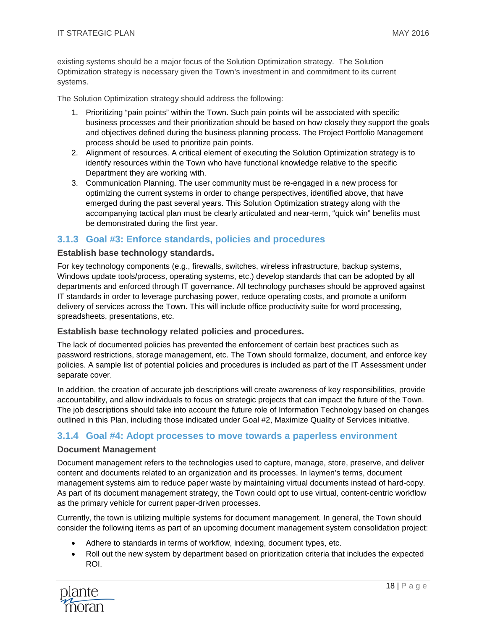existing systems should be a major focus of the Solution Optimization strategy. The Solution Optimization strategy is necessary given the Town's investment in and commitment to its current systems.

The Solution Optimization strategy should address the following:

- 1. Prioritizing "pain points" within the Town. Such pain points will be associated with specific business processes and their prioritization should be based on how closely they support the goals and objectives defined during the business planning process. The Project Portfolio Management process should be used to prioritize pain points.
- 2. Alignment of resources. A critical element of executing the Solution Optimization strategy is to identify resources within the Town who have functional knowledge relative to the specific Department they are working with.
- 3. Communication Planning. The user community must be re-engaged in a new process for optimizing the current systems in order to change perspectives, identified above, that have emerged during the past several years. This Solution Optimization strategy along with the accompanying tactical plan must be clearly articulated and near-term, "quick win" benefits must be demonstrated during the first year.

#### **3.1.3 Goal #3: Enforce standards, policies and procedures**

#### **Establish base technology standards.**

For key technology components (e.g., firewalls, switches, wireless infrastructure, backup systems, Windows update tools/process, operating systems, etc.) develop standards that can be adopted by all departments and enforced through IT governance. All technology purchases should be approved against IT standards in order to leverage purchasing power, reduce operating costs, and promote a uniform delivery of services across the Town. This will include office productivity suite for word processing, spreadsheets, presentations, etc.

#### **Establish base technology related policies and procedures.**

The lack of documented policies has prevented the enforcement of certain best practices such as password restrictions, storage management, etc. The Town should formalize, document, and enforce key policies. A sample list of potential policies and procedures is included as part of the IT Assessment under separate cover.

In addition, the creation of accurate job descriptions will create awareness of key responsibilities, provide accountability, and allow individuals to focus on strategic projects that can impact the future of the Town. The job descriptions should take into account the future role of Information Technology based on changes outlined in this Plan, including those indicated under Goal #2, Maximize Quality of Services initiative.

#### **3.1.4 Goal #4: Adopt processes to move towards a paperless environment**

#### **Document Management**

Document management refers to the technologies used to capture, manage, store, preserve, and deliver content and documents related to an organization and its processes. In laymen's terms, document management systems aim to reduce paper waste by maintaining virtual documents instead of hard-copy. As part of its document management strategy, the Town could opt to use virtual, content-centric workflow as the primary vehicle for current paper-driven processes.

Currently, the town is utilizing multiple systems for document management. In general, the Town should consider the following items as part of an upcoming document management system consolidation project:

- Adhere to standards in terms of workflow, indexing, document types, etc.
- Roll out the new system by department based on prioritization criteria that includes the expected ROI.

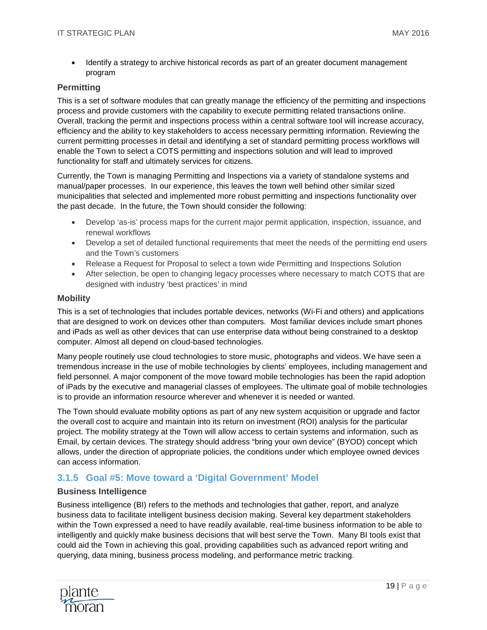• Identify a strategy to archive historical records as part of an greater document management program

### **Permitting**

This is a set of software modules that can greatly manage the efficiency of the permitting and inspections process and provide customers with the capability to execute permitting related transactions online. Overall, tracking the permit and inspections process within a central software tool will increase accuracy, efficiency and the ability to key stakeholders to access necessary permitting information. Reviewing the current permitting processes in detail and identifying a set of standard permitting process workflows will enable the Town to select a COTS permitting and inspections solution and will lead to improved functionality for staff and ultimately services for citizens.

Currently, the Town is managing Permitting and Inspections via a variety of standalone systems and manual/paper processes. In our experience, this leaves the town well behind other similar sized municipalities that selected and implemented more robust permitting and inspections functionality over the past decade. In the future, the Town should consider the following:

- Develop 'as-is' process maps for the current major permit application, inspection, issuance, and renewal workflows
- Develop a set of detailed functional requirements that meet the needs of the permitting end users and the Town's customers
- Release a Request for Proposal to select a town wide Permitting and Inspections Solution
- After selection, be open to changing legacy processes where necessary to match COTS that are designed with industry 'best practices' in mind

#### **Mobility**

This is a set of technologies that includes portable devices, networks (Wi-Fi and others) and applications that are designed to work on devices other than computers. Most familiar devices include smart phones and iPads as well as other devices that can use enterprise data without being constrained to a desktop computer. Almost all depend on cloud-based technologies.

Many people routinely use cloud technologies to store music, photographs and videos. We have seen a tremendous increase in the use of mobile technologies by clients' employees, including management and field personnel. A major component of the move toward mobile technologies has been the rapid adoption of iPads by the executive and managerial classes of employees. The ultimate goal of mobile technologies is to provide an information resource wherever and whenever it is needed or wanted.

The Town should evaluate mobility options as part of any new system acquisition or upgrade and factor the overall cost to acquire and maintain into its return on investment (ROI) analysis for the particular project. The mobility strategy at the Town will allow access to certain systems and information, such as Email, by certain devices. The strategy should address "bring your own device" (BYOD) concept which allows, under the direction of appropriate policies, the conditions under which employee owned devices can access information.

# **3.1.5 Goal #5: Move toward a 'Digital Government' Model**

#### **Business Intelligence**

Business intelligence (BI) refers to the methods and technologies that gather, report, and analyze business data to facilitate intelligent business decision making. Several key department stakeholders within the Town expressed a need to have readily available, real-time business information to be able to intelligently and quickly make business decisions that will best serve the Town. Many BI tools exist that could aid the Town in achieving this goal, providing capabilities such as advanced report writing and querying, data mining, business process modeling, and performance metric tracking.

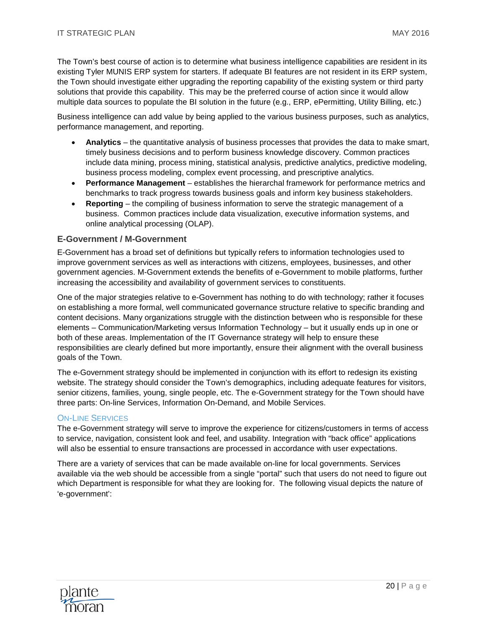The Town's best course of action is to determine what business intelligence capabilities are resident in its existing Tyler MUNIS ERP system for starters. If adequate BI features are not resident in its ERP system, the Town should investigate either upgrading the reporting capability of the existing system or third party solutions that provide this capability. This may be the preferred course of action since it would allow multiple data sources to populate the BI solution in the future (e.g., ERP, ePermitting, Utility Billing, etc.)

Business intelligence can add value by being applied to the various business purposes, such as analytics, performance management, and reporting.

- **Analytics** the quantitative analysis of business processes that provides the data to make smart, timely business decisions and to perform business knowledge discovery. Common practices include data mining, process mining, statistical analysis, predictive analytics, predictive modeling, business process modeling, complex event processing, and prescriptive analytics.
- **Performance Management** establishes the hierarchal framework for performance metrics and benchmarks to track progress towards business goals and inform key business stakeholders.
- **Reporting**  the compiling of business information to serve the strategic management of a business. Common practices include data visualization, executive information systems, and online analytical processing (OLAP).

#### **E-Government / M-Government**

E-Government has a broad set of definitions but typically refers to information technologies used to improve government services as well as interactions with citizens, employees, businesses, and other government agencies. M-Government extends the benefits of e-Government to mobile platforms, further increasing the accessibility and availability of government services to constituents.

One of the major strategies relative to e-Government has nothing to do with technology; rather it focuses on establishing a more formal, well communicated governance structure relative to specific branding and content decisions. Many organizations struggle with the distinction between who is responsible for these elements – Communication/Marketing versus Information Technology – but it usually ends up in one or both of these areas. Implementation of the IT Governance strategy will help to ensure these responsibilities are clearly defined but more importantly, ensure their alignment with the overall business goals of the Town.

The e-Government strategy should be implemented in conjunction with its effort to redesign its existing website. The strategy should consider the Town's demographics, including adequate features for visitors, senior citizens, families, young, single people, etc. The e-Government strategy for the Town should have three parts: On-line Services, Information On-Demand, and Mobile Services.

#### **ON-LINE SERVICES**

The e-Government strategy will serve to improve the experience for citizens/customers in terms of access to service, navigation, consistent look and feel, and usability. Integration with "back office" applications will also be essential to ensure transactions are processed in accordance with user expectations.

There are a variety of services that can be made available on-line for local governments. Services available via the web should be accessible from a single "portal" such that users do not need to figure out which Department is responsible for what they are looking for. The following visual depicts the nature of 'e-government':

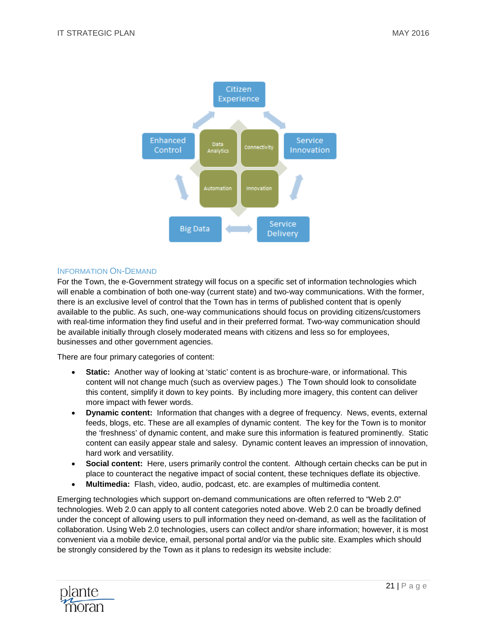

#### INFORMATION ON-DEMAND

For the Town, the e-Government strategy will focus on a specific set of information technologies which will enable a combination of both one-way (current state) and two-way communications. With the former, there is an exclusive level of control that the Town has in terms of published content that is openly available to the public. As such, one-way communications should focus on providing citizens/customers with real-time information they find useful and in their preferred format. Two-way communication should be available initially through closely moderated means with citizens and less so for employees, businesses and other government agencies.

There are four primary categories of content:

- **Static:** Another way of looking at 'static' content is as brochure-ware, or informational. This content will not change much (such as overview pages.) The Town should look to consolidate this content, simplify it down to key points. By including more imagery, this content can deliver more impact with fewer words.
- **Dynamic content:** Information that changes with a degree of frequency. News, events, external feeds, blogs, etc. These are all examples of dynamic content. The key for the Town is to monitor the 'freshness' of dynamic content, and make sure this information is featured prominently. Static content can easily appear stale and salesy. Dynamic content leaves an impression of innovation, hard work and versatility.
- **Social content:** Here, users primarily control the content. Although certain checks can be put in place to counteract the negative impact of social content, these techniques deflate its objective.
- **Multimedia:** Flash, video, audio, podcast, etc. are examples of multimedia content.

Emerging technologies which support on-demand communications are often referred to "Web 2.0" technologies. Web 2.0 can apply to all content categories noted above. Web 2.0 can be broadly defined under the concept of allowing users to pull information they need on-demand, as well as the facilitation of collaboration. Using Web 2.0 technologies, users can collect and/or share information; however, it is most convenient via a mobile device, email, personal portal and/or via the public site. Examples which should be strongly considered by the Town as it plans to redesign its website include:

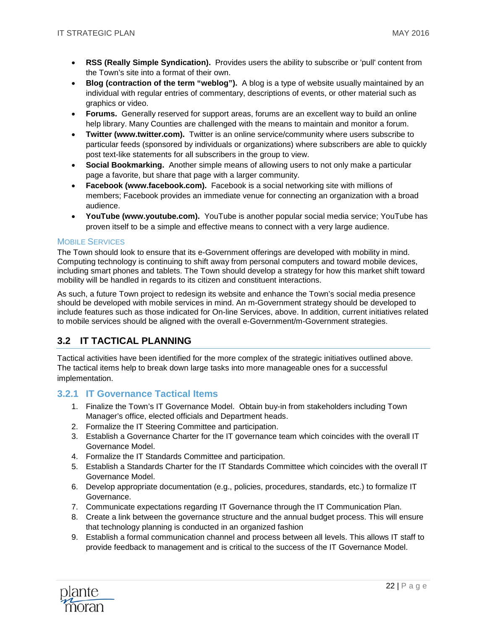- **RSS (Really Simple Syndication).** Provides users the ability to subscribe or 'pull' content from the Town's site into a format of their own.
- **Blog (contraction of the term "weblog").** A blog is a type of website usually maintained by an individual with regular entries of commentary, descriptions of events, or other material such as graphics or video.
- **Forums.** Generally reserved for support areas, forums are an excellent way to build an online help library. Many Counties are challenged with the means to maintain and monitor a forum.
- **Twitter (www.twitter.com).** Twitter is an online service/community where users subscribe to particular feeds (sponsored by individuals or organizations) where subscribers are able to quickly post text-like statements for all subscribers in the group to view.
- **Social Bookmarking.** Another simple means of allowing users to not only make a particular page a favorite, but share that page with a larger community.
- **Facebook (www.facebook.com).** Facebook is a social networking site with millions of members; Facebook provides an immediate venue for connecting an organization with a broad audience.
- **YouTube [\(www.youtube.com\)](http://www.youtube.com/).** YouTube is another popular social media service; YouTube has proven itself to be a simple and effective means to connect with a very large audience.

#### MOBILE SERVICES

The Town should look to ensure that its e-Government offerings are developed with mobility in mind. Computing technology is continuing to shift away from personal computers and toward mobile devices, including smart phones and tablets. The Town should develop a strategy for how this market shift toward mobility will be handled in regards to its citizen and constituent interactions.

As such, a future Town project to redesign its website and enhance the Town's social media presence should be developed with mobile services in mind. An m-Government strategy should be developed to include features such as those indicated for On-line Services, above. In addition, current initiatives related to mobile services should be aligned with the overall e-Government/m-Government strategies.

# **3.2 IT TACTICAL PLANNING**

Tactical activities have been identified for the more complex of the strategic initiatives outlined above. The tactical items help to break down large tasks into more manageable ones for a successful implementation.

#### <span id="page-22-0"></span>**3.2.1 IT Governance Tactical Items**

- 1. Finalize the Town's IT Governance Model. Obtain buy-in from stakeholders including Town Manager's office, elected officials and Department heads.
- 2. Formalize the IT Steering Committee and participation.
- 3. Establish a Governance Charter for the IT governance team which coincides with the overall IT Governance Model.
- 4. Formalize the IT Standards Committee and participation.
- 5. Establish a Standards Charter for the IT Standards Committee which coincides with the overall IT Governance Model.
- 6. Develop appropriate documentation (e.g., policies, procedures, standards, etc.) to formalize IT Governance.
- 7. Communicate expectations regarding IT Governance through the IT Communication Plan.
- 8. Create a link between the governance structure and the annual budget process. This will ensure that technology planning is conducted in an organized fashion
- 9. Establish a formal communication channel and process between all levels. This allows IT staff to provide feedback to management and is critical to the success of the IT Governance Model.

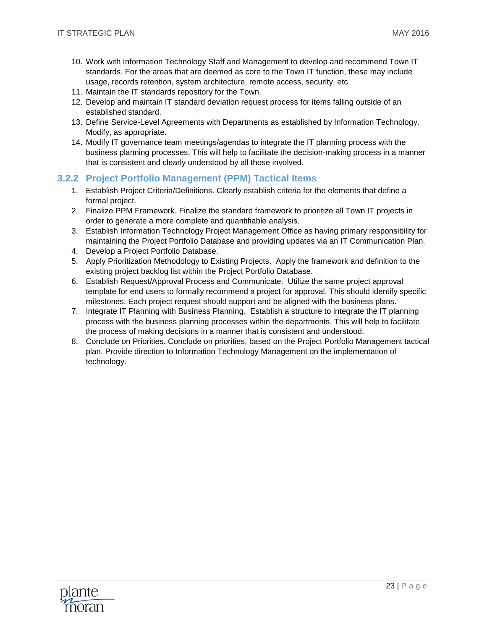- 10. Work with Information Technology Staff and Management to develop and recommend Town IT standards. For the areas that are deemed as core to the Town IT function, these may include usage, records retention, system architecture, remote access, security, etc.
- 11. Maintain the IT standards repository for the Town.
- 12. Develop and maintain IT standard deviation request process for items falling outside of an established standard.
- 13. Define Service-Level Agreements with Departments as established by Information Technology. Modify, as appropriate.
- 14. Modify IT governance team meetings/agendas to integrate the IT planning process with the business planning processes. This will help to facilitate the decision-making process in a manner that is consistent and clearly understood by all those involved.

#### <span id="page-23-0"></span>**3.2.2 Project Portfolio Management (PPM) Tactical Items**

- 1. Establish Project Criteria/Definitions. Clearly establish criteria for the elements that define a formal project.
- 2. Finalize PPM Framework. Finalize the standard framework to prioritize all Town IT projects in order to generate a more complete and quantifiable analysis.
- 3. Establish Information Technology Project Management Office as having primary responsibility for maintaining the Project Portfolio Database and providing updates via an IT Communication Plan.
- 4. Develop a Project Portfolio Database.
- 5. Apply Prioritization Methodology to Existing Projects. Apply the framework and definition to the existing project backlog list within the Project Portfolio Database.
- 6. Establish Request/Approval Process and Communicate. Utilize the same project approval template for end users to formally recommend a project for approval. This should identify specific milestones. Each project request should support and be aligned with the business plans.
- 7. Integrate IT Planning with Business Planning. Establish a structure to integrate the IT planning process with the business planning processes within the departments. This will help to facilitate the process of making decisions in a manner that is consistent and understood.
- 8. Conclude on Priorities. Conclude on priorities, based on the Project Portfolio Management tactical plan. Provide direction to Information Technology Management on the implementation of technology.

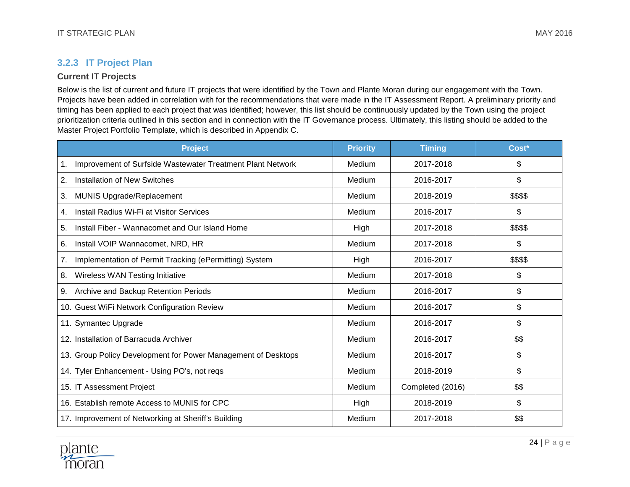# **3.2.3 IT Project Plan**

## **Current IT Projects**

Below is the list of current and future IT projects that were identified by the Town and Plante Moran during our engagement with the Town. Projects have been added in correlation with for the recommendations that were made in the IT Assessment Report. A preliminary priority and timing has been applied to each project that was identified; however, this list should be continuously updated by the Town using the project prioritization criteria outlined in this section and in connection with the IT Governance process. Ultimately, this listing should be added to the Master Project Portfolio Template, which is described in Appendix C.

<span id="page-24-0"></span>

| <b>Project</b>                                                   | <b>Priority</b> | <b>Timing</b>    | Cost*    |
|------------------------------------------------------------------|-----------------|------------------|----------|
| Improvement of Surfside Wastewater Treatment Plant Network<br>1. | Medium          | 2017-2018        | \$       |
| Installation of New Switches<br>2.                               | Medium          | 2016-2017        | \$       |
| MUNIS Upgrade/Replacement<br>3.                                  | Medium          | 2018-2019        | \$\$\$\$ |
| Install Radius Wi-Fi at Visitor Services<br>4.                   | Medium          | 2016-2017        | \$       |
| Install Fiber - Wannacomet and Our Island Home<br>5.             | High            | 2017-2018        | \$\$\$\$ |
| 6.<br>Install VOIP Wannacomet, NRD, HR                           | Medium          | 2017-2018        | \$       |
| Implementation of Permit Tracking (ePermitting) System<br>7.     | High            | 2016-2017        | \$\$\$\$ |
| Wireless WAN Testing Initiative<br>8.                            | Medium          | 2017-2018        | \$       |
| Archive and Backup Retention Periods<br>9.                       | Medium          | 2016-2017        | \$       |
| 10. Guest WiFi Network Configuration Review                      | Medium          | 2016-2017        | \$       |
| 11. Symantec Upgrade                                             | Medium          | 2016-2017        | \$       |
| 12. Installation of Barracuda Archiver                           | Medium          | 2016-2017        | \$\$     |
| 13. Group Policy Development for Power Management of Desktops    | Medium          | 2016-2017        | \$       |
| 14. Tyler Enhancement - Using PO's, not reqs                     | Medium          | 2018-2019        | \$       |
| 15. IT Assessment Project                                        | Medium          | Completed (2016) | \$\$     |
| 16. Establish remote Access to MUNIS for CPC                     | High            | 2018-2019        | \$       |
| 17. Improvement of Networking at Sheriff's Building              | Medium          | 2017-2018        | \$\$     |

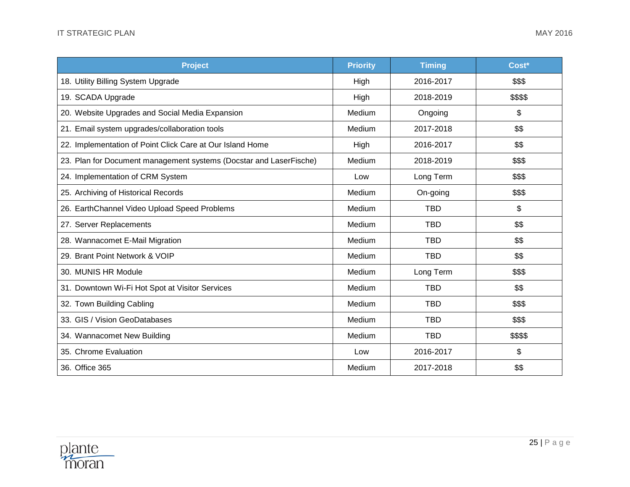| <b>Project</b>                                                     | <b>Priority</b> | <b>Timing</b> | Cost*    |
|--------------------------------------------------------------------|-----------------|---------------|----------|
| 18. Utility Billing System Upgrade                                 | High            | 2016-2017     | \$\$\$   |
| 19. SCADA Upgrade                                                  | High            | 2018-2019     | \$\$\$\$ |
| 20. Website Upgrades and Social Media Expansion                    | Medium          | Ongoing       | \$       |
| Email system upgrades/collaboration tools<br>21.                   | Medium          | 2017-2018     | \$\$     |
| 22. Implementation of Point Click Care at Our Island Home          | High            | 2016-2017     | \$\$     |
| 23. Plan for Document management systems (Docstar and LaserFische) | Medium          | 2018-2019     | \$\$\$   |
| 24. Implementation of CRM System                                   | Low             | Long Term     | \$\$\$   |
| 25. Archiving of Historical Records                                | Medium          | On-going      | \$\$\$   |
| 26. EarthChannel Video Upload Speed Problems                       | Medium          | <b>TBD</b>    | \$       |
| 27. Server Replacements                                            | Medium          | <b>TBD</b>    | \$\$     |
| 28. Wannacomet E-Mail Migration                                    | Medium          | <b>TBD</b>    | \$\$     |
| 29. Brant Point Network & VOIP                                     | Medium          | <b>TBD</b>    | \$\$     |
| 30. MUNIS HR Module                                                | Medium          | Long Term     | \$\$\$   |
| 31. Downtown Wi-Fi Hot Spot at Visitor Services                    | Medium          | <b>TBD</b>    | \$\$     |
| 32. Town Building Cabling                                          | Medium          | <b>TBD</b>    | \$\$\$   |
| 33. GIS / Vision GeoDatabases                                      | Medium          | <b>TBD</b>    | \$\$\$   |
| 34. Wannacomet New Building                                        | Medium          | <b>TBD</b>    | \$\$\$\$ |
| 35. Chrome Evaluation                                              | Low             | 2016-2017     | \$       |
| 36. Office 365                                                     | Medium          | 2017-2018     | \$\$     |

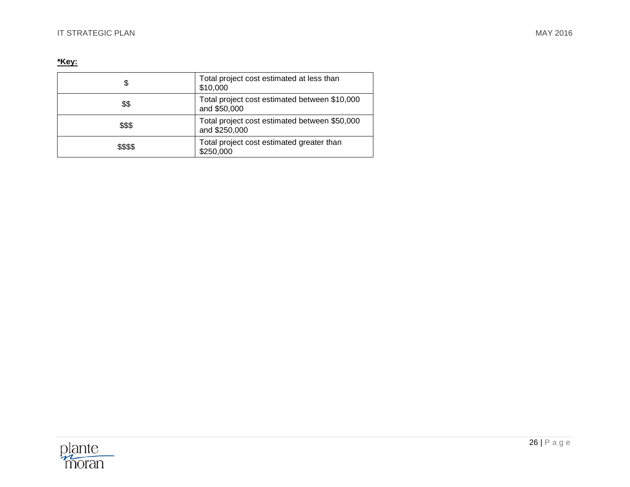### **\*Key:**

| \$       | Total project cost estimated at less than<br>\$10,000          |
|----------|----------------------------------------------------------------|
| \$\$     | Total project cost estimated between \$10,000<br>and \$50,000  |
| \$\$\$   | Total project cost estimated between \$50,000<br>and \$250,000 |
| \$\$\$\$ | Total project cost estimated greater than<br>\$250,000         |

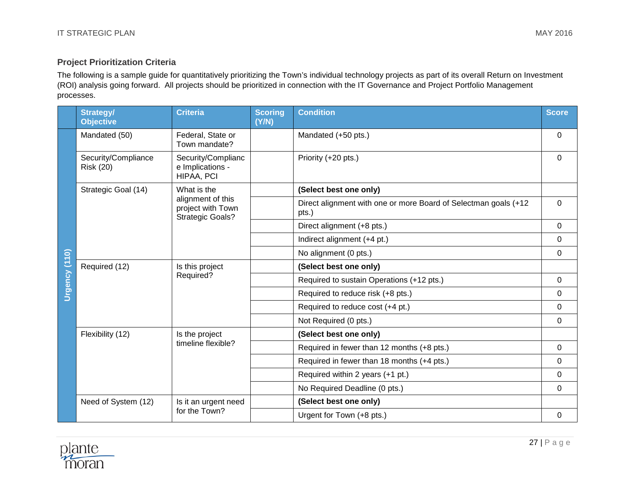# **Project Prioritization Criteria**

The following is a sample guide for quantitatively prioritizing the Town's individual technology projects as part of its overall Return on Investment (ROI) analysis going forward. All projects should be prioritized in connection with the IT Governance and Project Portfolio Management processes.

|               | <b>Strategy/</b><br><b>Objective</b>                                                            | <b>Criteria</b>                                                   | <b>Scoring</b><br>(Y/N) | <b>Condition</b>                                                         | <b>Score</b> |
|---------------|-------------------------------------------------------------------------------------------------|-------------------------------------------------------------------|-------------------------|--------------------------------------------------------------------------|--------------|
|               | Mandated (50)                                                                                   | Federal, State or<br>Town mandate?                                |                         | Mandated (+50 pts.)                                                      | 0            |
|               | Security/Compliance<br>Security/Complianc<br>e Implications -<br><b>Risk (20)</b><br>HIPAA, PCI |                                                                   |                         | Priority (+20 pts.)                                                      | $\Omega$     |
|               | Strategic Goal (14)                                                                             | What is the                                                       |                         | (Select best one only)                                                   |              |
|               |                                                                                                 | alignment of this<br>project with Town<br><b>Strategic Goals?</b> |                         | Direct alignment with one or more Board of Selectman goals (+12<br>pts.) | $\Omega$     |
|               |                                                                                                 |                                                                   |                         | Direct alignment (+8 pts.)                                               | 0            |
|               |                                                                                                 |                                                                   |                         | Indirect alignment (+4 pt.)                                              | 0            |
|               |                                                                                                 |                                                                   |                         | No alignment (0 pts.)                                                    | $\mathbf 0$  |
| Urgency (110) | Required (12)                                                                                   | Is this project<br>Required?                                      |                         | (Select best one only)                                                   |              |
|               |                                                                                                 |                                                                   |                         | Required to sustain Operations (+12 pts.)                                | 0            |
|               |                                                                                                 |                                                                   |                         | Required to reduce risk (+8 pts.)                                        | 0            |
|               |                                                                                                 |                                                                   |                         | Required to reduce cost (+4 pt.)                                         | $\mathbf 0$  |
|               |                                                                                                 |                                                                   |                         | Not Required (0 pts.)                                                    | $\mathbf 0$  |
|               | Flexibility (12)                                                                                | Is the project<br>timeline flexible?                              |                         | (Select best one only)                                                   |              |
|               |                                                                                                 |                                                                   |                         | Required in fewer than 12 months (+8 pts.)                               | $\mathbf 0$  |
|               |                                                                                                 |                                                                   |                         | Required in fewer than 18 months (+4 pts.)                               | 0            |
|               |                                                                                                 |                                                                   |                         | Required within 2 years (+1 pt.)                                         | $\mathbf 0$  |
|               |                                                                                                 |                                                                   |                         | No Required Deadline (0 pts.)                                            | $\Omega$     |
|               | Need of System (12)                                                                             | Is it an urgent need                                              |                         | (Select best one only)                                                   |              |
|               |                                                                                                 | for the Town?                                                     |                         | Urgent for Town (+8 pts.)                                                | 0            |

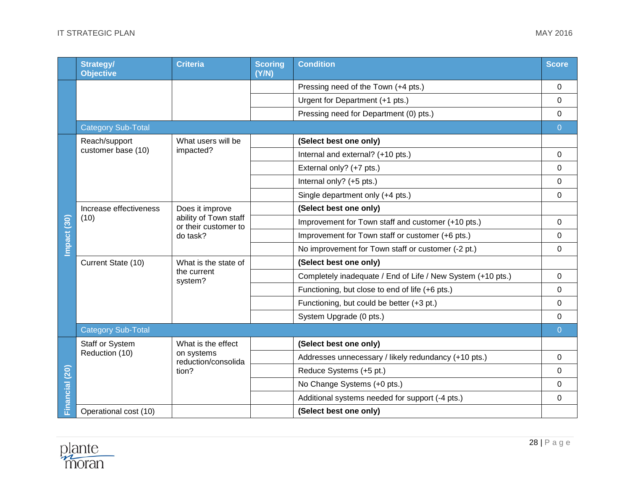|                | <b>Strategy/</b><br><b>Objective</b>       | <b>Criteria</b>                               | <b>Scoring</b><br>(Y/N) | <b>Condition</b>                                            | <b>Score</b>   |  |
|----------------|--------------------------------------------|-----------------------------------------------|-------------------------|-------------------------------------------------------------|----------------|--|
|                |                                            |                                               |                         | Pressing need of the Town (+4 pts.)                         | $\Omega$       |  |
|                |                                            |                                               |                         | Urgent for Department (+1 pts.)                             | 0              |  |
|                |                                            |                                               |                         | Pressing need for Department (0) pts.)                      | 0              |  |
|                | <b>Category Sub-Total</b>                  |                                               |                         |                                                             |                |  |
|                | Reach/support                              | What users will be                            |                         | (Select best one only)                                      |                |  |
|                | customer base (10)                         | impacted?                                     |                         | Internal and external? (+10 pts.)                           | $\mathbf 0$    |  |
|                |                                            |                                               |                         | External only? (+7 pts.)                                    | 0              |  |
|                |                                            |                                               |                         | Internal only? (+5 pts.)                                    | 0              |  |
|                |                                            |                                               |                         | Single department only (+4 pts.)                            | 0              |  |
|                | Increase effectiveness<br>(10)<br>do task? | Does it improve                               |                         | (Select best one only)                                      |                |  |
| Impact (30)    |                                            | ability of Town staff<br>or their customer to |                         | Improvement for Town staff and customer (+10 pts.)          | 0              |  |
|                |                                            |                                               |                         | Improvement for Town staff or customer (+6 pts.)            | 0              |  |
|                |                                            |                                               |                         | No improvement for Town staff or customer (-2 pt.)          | 0              |  |
|                | Current State (10)                         | What is the state of                          |                         | (Select best one only)                                      |                |  |
|                |                                            | the current<br>system?                        |                         | Completely inadequate / End of Life / New System (+10 pts.) | 0              |  |
|                |                                            |                                               |                         | Functioning, but close to end of life (+6 pts.)             | 0              |  |
|                |                                            |                                               |                         | Functioning, but could be better (+3 pt.)                   | 0              |  |
|                |                                            |                                               |                         | System Upgrade (0 pts.)                                     | 0              |  |
|                | <b>Category Sub-Total</b>                  |                                               |                         |                                                             | $\overline{0}$ |  |
|                | Staff or System                            | What is the effect                            |                         | (Select best one only)                                      |                |  |
|                | Reduction (10)                             | on systems<br>reduction/consolida             |                         | Addresses unnecessary / likely redundancy (+10 pts.)        | 0              |  |
|                |                                            | tion?                                         |                         | Reduce Systems (+5 pt.)                                     | $\Omega$       |  |
| Financial (20) |                                            |                                               |                         | No Change Systems (+0 pts.)                                 | 0              |  |
|                |                                            |                                               |                         | Additional systems needed for support (-4 pts.)             | $\mathbf 0$    |  |
|                | Operational cost (10)                      |                                               |                         | (Select best one only)                                      |                |  |

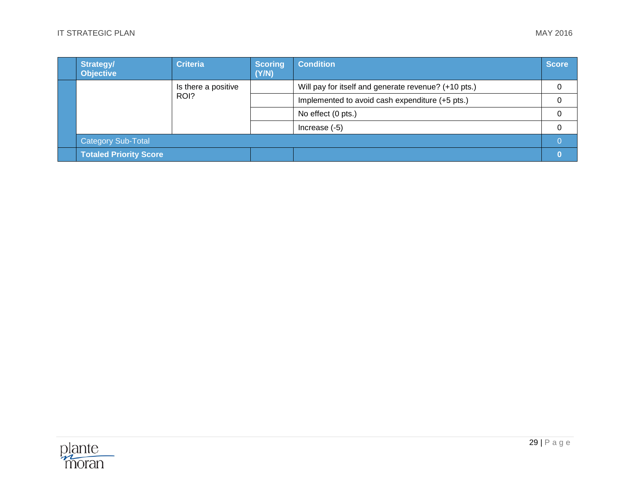|  | <b>Strategy/</b><br><b>Objective</b> | Criteria            | <b>Scoring</b><br>(Y/N) | <b>Condition</b>                                     | <b>Score</b> |
|--|--------------------------------------|---------------------|-------------------------|------------------------------------------------------|--------------|
|  |                                      | Is there a positive |                         | Will pay for itself and generate revenue? (+10 pts.) | 0            |
|  |                                      | ROI?                |                         | Implemented to avoid cash expenditure (+5 pts.)      | 0            |
|  |                                      |                     |                         | No effect (0 pts.)                                   | 0            |
|  |                                      |                     | Increase (-5)           | 0                                                    |              |
|  | <b>Category Sub-Total</b>            |                     |                         |                                                      |              |
|  | <b>Totaled Priority Score</b>        |                     |                         |                                                      |              |

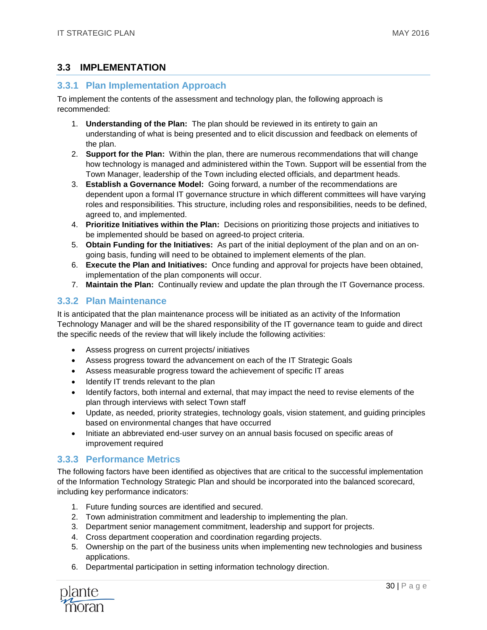# <span id="page-30-0"></span>**3.3 IMPLEMENTATION**

#### <span id="page-30-1"></span>**3.3.1 Plan Implementation Approach**

To implement the contents of the assessment and technology plan, the following approach is recommended:

- 1. **Understanding of the Plan:** The plan should be reviewed in its entirety to gain an understanding of what is being presented and to elicit discussion and feedback on elements of the plan.
- 2. **Support for the Plan:** Within the plan, there are numerous recommendations that will change how technology is managed and administered within the Town. Support will be essential from the Town Manager, leadership of the Town including elected officials, and department heads.
- 3. **Establish a Governance Model:** Going forward, a number of the recommendations are dependent upon a formal IT governance structure in which different committees will have varying roles and responsibilities. This structure, including roles and responsibilities, needs to be defined, agreed to, and implemented.
- 4. **Prioritize Initiatives within the Plan:** Decisions on prioritizing those projects and initiatives to be implemented should be based on agreed-to project criteria.
- 5. **Obtain Funding for the Initiatives:** As part of the initial deployment of the plan and on an ongoing basis, funding will need to be obtained to implement elements of the plan.
- 6. **Execute the Plan and Initiatives:** Once funding and approval for projects have been obtained, implementation of the plan components will occur.
- 7. **Maintain the Plan:** Continually review and update the plan through the IT Governance process.

# <span id="page-30-2"></span>**3.3.2 Plan Maintenance**

It is anticipated that the plan maintenance process will be initiated as an activity of the Information Technology Manager and will be the shared responsibility of the IT governance team to guide and direct the specific needs of the review that will likely include the following activities:

- Assess progress on current projects/ initiatives
- Assess progress toward the advancement on each of the IT Strategic Goals
- Assess measurable progress toward the achievement of specific IT areas
- Identify IT trends relevant to the plan
- Identify factors, both internal and external, that may impact the need to revise elements of the plan through interviews with select Town staff
- Update, as needed, priority strategies, technology goals, vision statement, and guiding principles based on environmental changes that have occurred
- Initiate an abbreviated end-user survey on an annual basis focused on specific areas of improvement required

#### <span id="page-30-3"></span>**3.3.3 Performance Metrics**

The following factors have been identified as objectives that are critical to the successful implementation of the Information Technology Strategic Plan and should be incorporated into the balanced scorecard, including key performance indicators:

- 1. Future funding sources are identified and secured.
- 2. Town administration commitment and leadership to implementing the plan.
- 3. Department senior management commitment, leadership and support for projects.
- 4. Cross department cooperation and coordination regarding projects.
- 5. Ownership on the part of the business units when implementing new technologies and business applications.
- 6. Departmental participation in setting information technology direction.

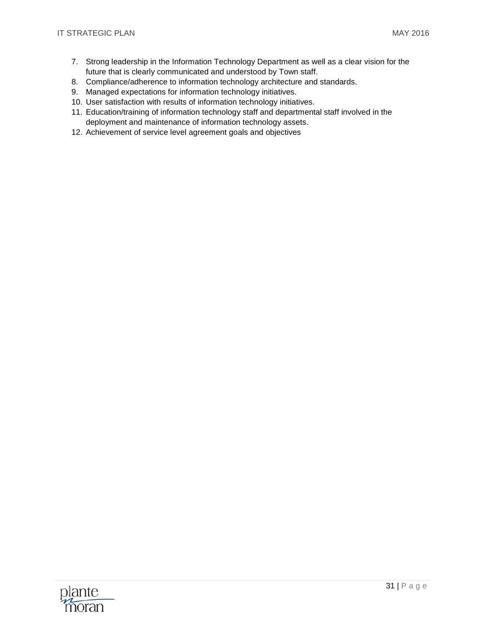- 7. Strong leadership in the Information Technology Department as well as a clear vision for the future that is clearly communicated and understood by Town staff.
- 8. Compliance/adherence to information technology architecture and standards.
- 9. Managed expectations for information technology initiatives.
- 10. User satisfaction with results of information technology initiatives.
- 11. Education/training of information technology staff and departmental staff involved in the deployment and maintenance of information technology assets.
- 12. Achievement of service level agreement goals and objectives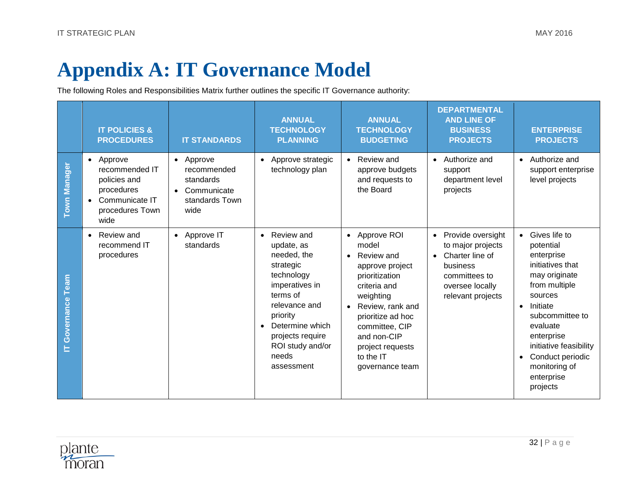# **Appendix A: IT Governance Model**

The following Roles and Responsibilities Matrix further outlines the specific IT Governance authority:

<span id="page-32-0"></span>

|                       | <b>IT POLICIES &amp;</b><br><b>PROCEDURES</b>                                                          | <b>IT STANDARDS</b>                                                            | <b>ANNUAL</b><br><b>TECHNOLOGY</b><br><b>PLANNING</b>                                                                                                                                                                                     | <b>ANNUAL</b><br><b>TECHNOLOGY</b><br><b>BUDGETING</b>                                                                                                                                                                                                         | <b>DEPARTMENTAL</b><br><b>AND LINE OF</b><br><b>BUSINESS</b><br><b>PROJECTS</b>                                                             | <b>ENTERPRISE</b><br><b>PROJECTS</b>                                                                                                                                                                                                                                                    |
|-----------------------|--------------------------------------------------------------------------------------------------------|--------------------------------------------------------------------------------|-------------------------------------------------------------------------------------------------------------------------------------------------------------------------------------------------------------------------------------------|----------------------------------------------------------------------------------------------------------------------------------------------------------------------------------------------------------------------------------------------------------------|---------------------------------------------------------------------------------------------------------------------------------------------|-----------------------------------------------------------------------------------------------------------------------------------------------------------------------------------------------------------------------------------------------------------------------------------------|
| Town Manager          | • Approve<br>recommended IT<br>policies and<br>procedures<br>Communicate IT<br>procedures Town<br>wide | • Approve<br>recommended<br>standards<br>Communicate<br>standards Town<br>wide | Approve strategic<br>$\bullet$<br>technology plan                                                                                                                                                                                         | Review and<br>$\bullet$<br>approve budgets<br>and requests to<br>the Board                                                                                                                                                                                     | Authorize and<br>$\bullet$<br>support<br>department level<br>projects                                                                       | Authorize and<br>$\bullet$<br>support enterprise<br>level projects                                                                                                                                                                                                                      |
| Team<br>IT Governance | Review and<br>$\bullet$<br>recommend IT<br>procedures                                                  | • Approve IT<br>standards                                                      | Review and<br>$\bullet$<br>update, as<br>needed, the<br>strategic<br>technology<br>imperatives in<br>terms of<br>relevance and<br>priority<br>Determine which<br>$\bullet$<br>projects require<br>ROI study and/or<br>needs<br>assessment | • Approve ROI<br>model<br>Review and<br>$\bullet$<br>approve project<br>prioritization<br>criteria and<br>weighting<br>Review, rank and<br>$\bullet$<br>prioritize ad hoc<br>committee, CIP<br>and non-CIP<br>project requests<br>to the IT<br>governance team | Provide oversight<br>$\bullet$<br>to major projects<br>Charter line of<br>business<br>committees to<br>oversee locally<br>relevant projects | • Gives life to<br>potential<br>enterprise<br>initiatives that<br>may originate<br>from multiple<br>sources<br>Initiate<br>$\bullet$<br>subcommittee to<br>evaluate<br>enterprise<br>initiative feasibility<br>Conduct periodic<br>$\bullet$<br>monitoring of<br>enterprise<br>projects |

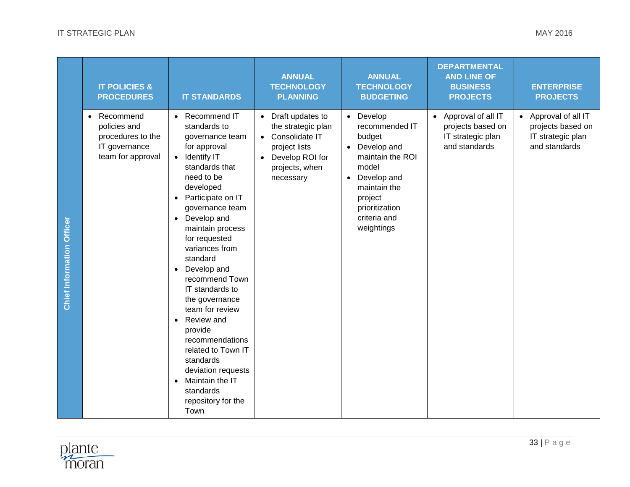|                                  | <b>IT POLICIES &amp;</b><br><b>PROCEDURES</b>                                                     | <b>IT STANDARDS</b>                                                                                                                                                                                                                                                                                                                                                                                                                                                                                                                                                                                                 | <b>ANNUAL</b><br><b>TECHNOLOGY</b><br><b>PLANNING</b>                                                                                                 | <b>ANNUAL</b><br><b>TECHNOLOGY</b><br><b>BUDGETING</b>                                                                                                                                              | <b>DEPARTMENTAL</b><br><b>AND LINE OF</b><br><b>BUSINESS</b><br><b>PROJECTS</b> | <b>ENTERPRISE</b><br><b>PROJECTS</b>                                          |
|----------------------------------|---------------------------------------------------------------------------------------------------|---------------------------------------------------------------------------------------------------------------------------------------------------------------------------------------------------------------------------------------------------------------------------------------------------------------------------------------------------------------------------------------------------------------------------------------------------------------------------------------------------------------------------------------------------------------------------------------------------------------------|-------------------------------------------------------------------------------------------------------------------------------------------------------|-----------------------------------------------------------------------------------------------------------------------------------------------------------------------------------------------------|---------------------------------------------------------------------------------|-------------------------------------------------------------------------------|
| <b>Chief Information Officer</b> | Recommend<br>$\bullet$<br>policies and<br>procedures to the<br>IT governance<br>team for approval | Recommend IT<br>$\bullet$<br>standards to<br>governance team<br>for approval<br><b>Identify IT</b><br>$\bullet$<br>standards that<br>need to be<br>developed<br>Participate on IT<br>$\bullet$<br>governance team<br>Develop and<br>$\bullet$<br>maintain process<br>for requested<br>variances from<br>standard<br>Develop and<br>$\bullet$<br>recommend Town<br>IT standards to<br>the governance<br>team for review<br>Review and<br>$\bullet$<br>provide<br>recommendations<br>related to Town IT<br>standards<br>deviation requests<br>Maintain the IT<br>$\bullet$<br>standards<br>repository for the<br>Town | Draft updates to<br>$\bullet$<br>the strategic plan<br>Consolidate IT<br>$\bullet$<br>project lists<br>Develop ROI for<br>projects, when<br>necessary | Develop<br>$\bullet$<br>recommended IT<br>budget<br>Develop and<br>$\bullet$<br>maintain the ROI<br>model<br>Develop and<br>maintain the<br>project<br>prioritization<br>criteria and<br>weightings | Approval of all IT<br>projects based on<br>IT strategic plan<br>and standards   | Approval of all IT<br>projects based on<br>IT strategic plan<br>and standards |

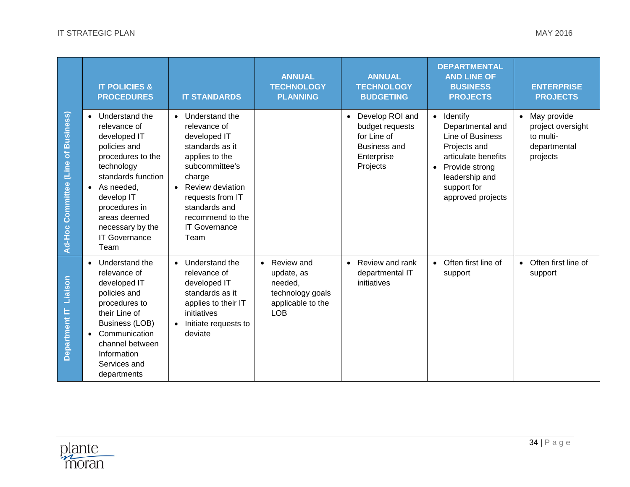|                                     | <b>IT POLICIES &amp;</b><br><b>PROCEDURES</b>                                                                                                                                                                                                                      | <b>IT STANDARDS</b>                                                                                                                                                                                                                 | <b>ANNUAL</b><br><b>TECHNOLOGY</b><br><b>PLANNING</b>                                                   | <b>ANNUAL</b><br><b>TECHNOLOGY</b><br><b>BUDGETING</b>                                               | <b>DEPARTMENTAL</b><br><b>AND LINE OF</b><br><b>BUSINESS</b><br><b>PROJECTS</b>                                                                                                | <b>ENTERPRISE</b><br><b>PROJECTS</b>                                      |
|-------------------------------------|--------------------------------------------------------------------------------------------------------------------------------------------------------------------------------------------------------------------------------------------------------------------|-------------------------------------------------------------------------------------------------------------------------------------------------------------------------------------------------------------------------------------|---------------------------------------------------------------------------------------------------------|------------------------------------------------------------------------------------------------------|--------------------------------------------------------------------------------------------------------------------------------------------------------------------------------|---------------------------------------------------------------------------|
| Ad-Hoc Committee (Line of Business) | Understand the<br>$\bullet$<br>relevance of<br>developed IT<br>policies and<br>procedures to the<br>technology<br>standards function<br>As needed,<br>$\bullet$<br>develop IT<br>procedures in<br>areas deemed<br>necessary by the<br><b>IT Governance</b><br>Team | Understand the<br>relevance of<br>developed IT<br>standards as it<br>applies to the<br>subcommittee's<br>charge<br><b>Review deviation</b><br>requests from IT<br>standards and<br>recommend to the<br><b>IT Governance</b><br>Team |                                                                                                         | • Develop ROI and<br>budget requests<br>for Line of<br><b>Business and</b><br>Enterprise<br>Projects | • Identify<br>Departmental and<br>Line of Business<br>Projects and<br>articulate benefits<br>Provide strong<br>$\bullet$<br>leadership and<br>support for<br>approved projects | May provide<br>project oversight<br>to multi-<br>departmental<br>projects |
| Liaison<br>Department IT            | Understand the<br>$\bullet$<br>relevance of<br>developed IT<br>policies and<br>procedures to<br>their Line of<br><b>Business (LOB)</b><br>Communication<br>$\bullet$<br>channel between<br>Information<br>Services and<br>departments                              | Understand the<br>relevance of<br>developed IT<br>standards as it<br>applies to their IT<br>initiatives<br>Initiate requests to<br>deviate                                                                                          | Review and<br>$\bullet$<br>update, as<br>needed.<br>technology goals<br>applicable to the<br><b>LOB</b> | • Review and rank<br>departmental IT<br>initiatives                                                  | • Often first line of<br>support                                                                                                                                               | Often first line of<br>support                                            |

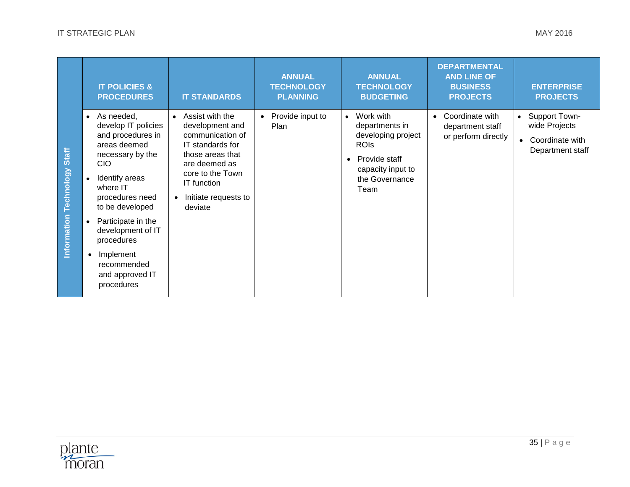|                                        | <b>IT POLICIES &amp;</b><br><b>PROCEDURES</b>                                                                                                                                                                                                                                                                   | <b>IT STANDARDS</b>                                                                                                                                                                                | <b>ANNUAL</b><br><b>TECHNOLOGY</b><br><b>PLANNING</b> | <b>ANNUAL</b><br><b>TECHNOLOGY</b><br><b>BUDGETING</b>                                                                                        | <b>DEPARTMENTAL</b><br><b>AND LINE OF</b><br><b>BUSINESS</b><br><b>PROJECTS</b> | <b>ENTERPRISE</b><br><b>PROJECTS</b>                                               |
|----------------------------------------|-----------------------------------------------------------------------------------------------------------------------------------------------------------------------------------------------------------------------------------------------------------------------------------------------------------------|----------------------------------------------------------------------------------------------------------------------------------------------------------------------------------------------------|-------------------------------------------------------|-----------------------------------------------------------------------------------------------------------------------------------------------|---------------------------------------------------------------------------------|------------------------------------------------------------------------------------|
| <b>Technology Staff</b><br>Information | As needed,<br>$\bullet$<br>develop IT policies<br>and procedures in<br>areas deemed<br>necessary by the<br><b>CIO</b><br>Identify areas<br>where IT<br>procedures need<br>to be developed<br>Participate in the<br>development of IT<br>procedures<br>Implement<br>recommended<br>and approved IT<br>procedures | Assist with the<br>$\bullet$<br>development and<br>communication of<br>IT standards for<br>those areas that<br>are deemed as<br>core to the Town<br>IT function<br>Initiate requests to<br>deviate | Provide input to<br>Plan                              | Work with<br>$\bullet$<br>departments in<br>developing project<br><b>ROIS</b><br>Provide staff<br>capacity input to<br>the Governance<br>Team | Coordinate with<br>department staff<br>or perform directly                      | Support Town-<br>$\bullet$<br>wide Projects<br>Coordinate with<br>Department staff |

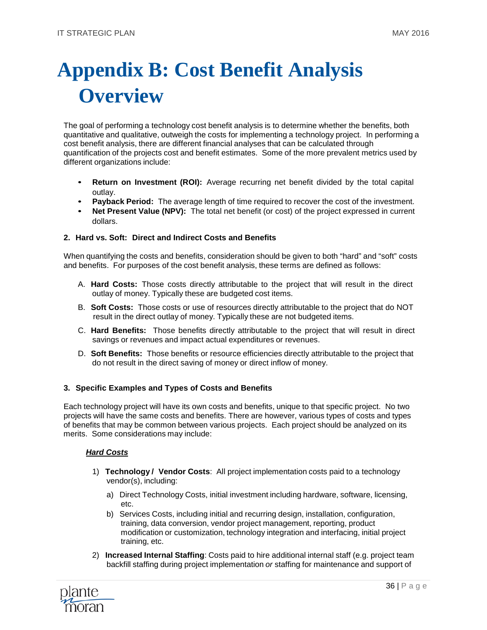# <span id="page-36-0"></span>**Appendix B: Cost Benefit Analysis Overview**

The goal of performing a technology cost benefit analysis is to determine whether the benefits, both quantitative and qualitative, outweigh the costs for implementing a technology project. In performing a cost benefit analysis, there are different financial analyses that can be calculated through quantification of the projects cost and benefit estimates. Some of the more prevalent metrics used by different organizations include:

- **Return on Investment (ROI):** Average recurring net benefit divided by the total capital outlay.
- **Payback Period:** The average length of time required to recover the cost of the investment.
- **Net Present Value (NPV):** The total net benefit (or cost) of the project expressed in current dollars.

#### **2. Hard vs. Soft: Direct and Indirect Costs and Benefits**

When quantifying the costs and benefits, consideration should be given to both "hard" and "soft" costs and benefits. For purposes of the cost benefit analysis, these terms are defined as follows:

- A. **Hard Costs:** Those costs directly attributable to the project that will result in the direct outlay of money. Typically these are budgeted cost items.
- B. **Soft Costs:** Those costs or use of resources directly attributable to the project that do NOT result in the direct outlay of money. Typically these are not budgeted items.
- C. **Hard Benefits:** Those benefits directly attributable to the project that will result in direct savings or revenues and impact actual expenditures or revenues.
- D. **Soft Benefits:** Those benefits or resource efficiencies directly attributable to the project that do not result in the direct saving of money or direct inflow of money.

#### **3. Specific Examples and Types of Costs and Benefits**

Each technology project will have its own costs and benefits, unique to that specific project. No two projects will have the same costs and benefits. There are however, various types of costs and types of benefits that may be common between various projects. Each project should be analyzed on its merits. Some considerations may include:

#### *Hard Costs*

- 1) **Technology / Vendor Costs**: All project implementation costs paid to a technology vendor(s), including:
	- a) Direct Technology Costs, initial investment including hardware, software, licensing, etc.
	- b) Services Costs, including initial and recurring design, installation, configuration, training, data conversion, vendor project management, reporting, product modification or customization, technology integration and interfacing, initial project training, etc.
- 2) **Increased Internal Staffing**: Costs paid to hire additional internal staff (e.g. project team backfill staffing during project implementation *or* staffing for maintenance and support of

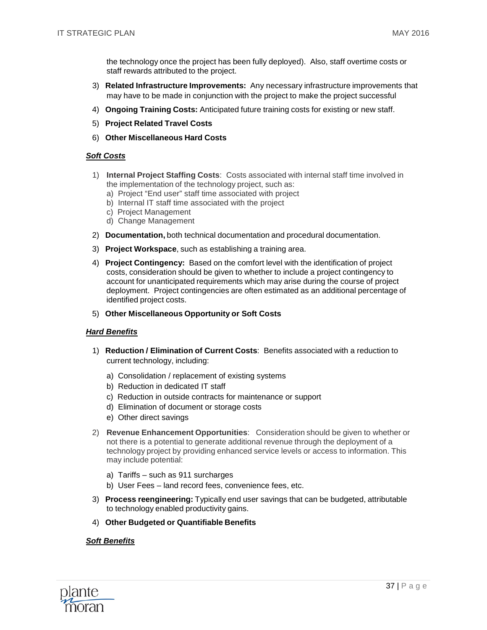the technology once the project has been fully deployed). Also, staff overtime costs or staff rewards attributed to the project.

- 3) **Related Infrastructure Improvements:** Any necessary infrastructure improvements that may have to be made in conjunction with the project to make the project successful
- 4) **Ongoing Training Costs:** Anticipated future training costs for existing or new staff.
- 5) **Project Related Travel Costs**
- 6) **Other Miscellaneous Hard Costs**

#### *Soft Costs*

- 1) **Internal Project Staffing Costs**: Costs associated with internal staff time involved in the implementation of the technology project, such as:
	- a) Project "End user" staff time associated with project
	- b) Internal IT staff time associated with the project
	- c) Project Management
	- d) Change Management
- 2) **Documentation,** both technical documentation and procedural documentation.
- 3) **Project Workspace**, such as establishing a training area.
- 4) **Project Contingency:** Based on the comfort level with the identification of project costs, consideration should be given to whether to include a project contingency to account for unanticipated requirements which may arise during the course of project deployment. Project contingencies are often estimated as an additional percentage of identified project costs.
- 5) **Other Miscellaneous Opportunity or Soft Costs**

#### *Hard Benefits*

- 1) **Reduction / Elimination of Current Costs**: Benefits associated with a reduction to current technology, including:
	- a) Consolidation / replacement of existing systems
	- b) Reduction in dedicated IT staff
	- c) Reduction in outside contracts for maintenance or support
	- d) Elimination of document or storage costs
	- e) Other direct savings
- 2) **Revenue Enhancement Opportunities**: Consideration should be given to whether or not there is a potential to generate additional revenue through the deployment of a technology project by providing enhanced service levels or access to information. This may include potential:
	- a) Tariffs such as 911 surcharges
	- b) User Fees land record fees, convenience fees, etc.
- 3) **Process reengineering:** Typically end user savings that can be budgeted, attributable to technology enabled productivity gains.
- 4) **Other Budgeted or Quantifiable Benefits**

#### *Soft Benefits*

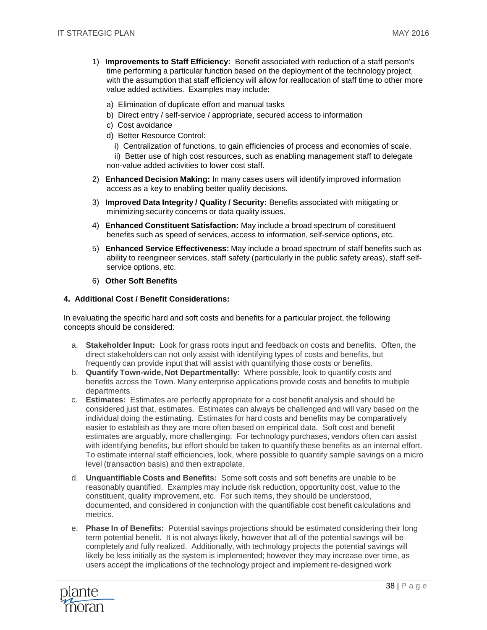- 1) **Improvements to Staff Efficiency:** Benefit associated with reduction of a staff person's time performing a particular function based on the deployment of the technology project, with the assumption that staff efficiency will allow for reallocation of staff time to other more value added activities. Examples may include:
	- a) Elimination of duplicate effort and manual tasks
	- b) Direct entry / self-service / appropriate, secured access to information
	- c) Cost avoidance
	- d) Better Resource Control:
		- i) Centralization of functions, to gain efficiencies of process and economies of scale.

ii) Better use of high cost resources, such as enabling management staff to delegate non-value added activities to lower cost staff.

- 2) **Enhanced Decision Making:** In many cases users will identify improved information access as a key to enabling better quality decisions.
- 3) **Improved Data Integrity / Quality / Security:** Benefits associated with mitigating or minimizing security concerns or data quality issues.
- 4) **Enhanced Constituent Satisfaction:** May include a broad spectrum of constituent benefits such as speed of services, access to information, self-service options, etc.
- 5) **Enhanced Service Effectiveness:** May include a broad spectrum of staff benefits such as ability to reengineer services, staff safety (particularly in the public safety areas), staff selfservice options, etc.
- 6) **Other Soft Benefits**

#### **4. Additional Cost / Benefit Considerations:**

In evaluating the specific hard and soft costs and benefits for a particular project, the following concepts should be considered:

- a. **Stakeholder Input:** Look for grass roots input and feedback on costs and benefits. Often, the direct stakeholders can not only assist with identifying types of costs and benefits, but frequently can provide input that will assist with quantifying those costs or benefits.
- b. **Quantify Town-wide, Not Departmentally:** Where possible, look to quantify costs and benefits across the Town. Many enterprise applications provide costs and benefits to multiple departments.
- c. **Estimates:** Estimates are perfectly appropriate for a cost benefit analysis and should be considered just that, estimates. Estimates can always be challenged and will vary based on the individual doing the estimating. Estimates for hard costs and benefits may be comparatively easier to establish as they are more often based on empirical data. Soft cost and benefit estimates are arguably, more challenging. For technology purchases, vendors often can assist with identifying benefits, but effort should be taken to quantify these benefits as an internal effort. To estimate internal staff efficiencies, look, where possible to quantify sample savings on a micro level (transaction basis) and then extrapolate.
- d. **Unquantifiable Costs and Benefits:** Some soft costs and soft benefits are unable to be reasonably quantified. Examples may include risk reduction, opportunity cost, value to the constituent, quality improvement, etc. For such items, they should be understood, documented, and considered in conjunction with the quantifiable cost benefit calculations and metrics.
- e. **Phase In of Benefits:** Potential savings projections should be estimated considering their long term potential benefit. It is not always likely, however that all of the potential savings will be completely and fully realized. Additionally, with technology projects the potential savings will likely be less initially as the system is implemented; however they may increase over time, as users accept the implications of the technology project and implement re-designed work

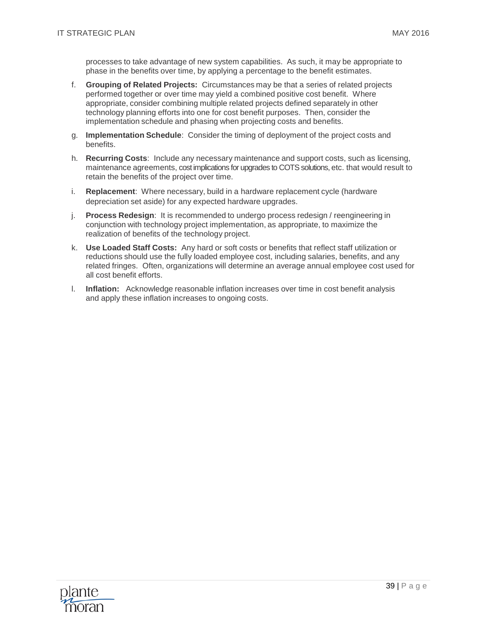processes to take advantage of new system capabilities. As such, it may be appropriate to phase in the benefits over time, by applying a percentage to the benefit estimates.

- f. **Grouping of Related Projects:** Circumstances may be that a series of related projects performed together or over time may yield a combined positive cost benefit. Where appropriate, consider combining multiple related projects defined separately in other technology planning efforts into one for cost benefit purposes. Then, consider the implementation schedule and phasing when projecting costs and benefits.
- g. **Implementation Schedule**: Consider the timing of deployment of the project costs and benefits.
- h. **Recurring Costs**: Include any necessary maintenance and support costs, such as licensing, maintenance agreements, cost implications for upgrades to COTS solutions, etc. that would result to retain the benefits of the project over time.
- i. **Replacement**: Where necessary, build in a hardware replacement cycle (hardware depreciation set aside) for any expected hardware upgrades.
- j. **Process Redesign**: It is recommended to undergo process redesign / reengineering in conjunction with technology project implementation, as appropriate, to maximize the realization of benefits of the technology project.
- k. **Use Loaded Staff Costs:** Any hard or soft costs or benefits that reflect staff utilization or reductions should use the fully loaded employee cost, including salaries, benefits, and any related fringes. Often, organizations will determine an average annual employee cost used for all cost benefit efforts.
- l. **Inflation:** Acknowledge reasonable inflation increases over time in cost benefit analysis and apply these inflation increases to ongoing costs.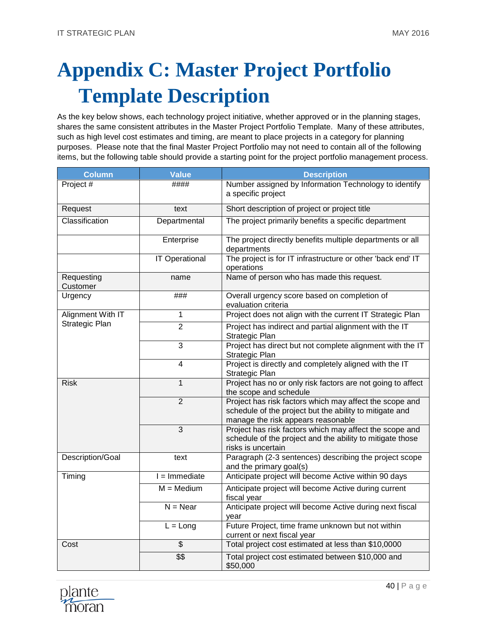# <span id="page-40-0"></span>**Appendix C: Master Project Portfolio Template Description**

As the key below shows, each technology project initiative, whether approved or in the planning stages, shares the same consistent attributes in the Master Project Portfolio Template. Many of these attributes, such as high level cost estimates and timing, are meant to place projects in a category for planning purposes. Please note that the final Master Project Portfolio may not need to contain all of the following items, but the following table should provide a starting point for the project portfolio management process.

| <b>Column</b>          | <b>Value</b>             | <b>Description</b>                                                                                                                                       |  |  |
|------------------------|--------------------------|----------------------------------------------------------------------------------------------------------------------------------------------------------|--|--|
| Project #              | ####                     | Number assigned by Information Technology to identify<br>a specific project                                                                              |  |  |
| Request                | text                     | Short description of project or project title                                                                                                            |  |  |
| Classification         | Departmental             | The project primarily benefits a specific department                                                                                                     |  |  |
|                        | Enterprise               | The project directly benefits multiple departments or all<br>departments                                                                                 |  |  |
|                        | <b>IT Operational</b>    | The project is for IT infrastructure or other 'back end' IT<br>operations                                                                                |  |  |
| Requesting<br>Customer | name                     | Name of person who has made this request.                                                                                                                |  |  |
| Urgency                | ###                      | Overall urgency score based on completion of<br>evaluation criteria                                                                                      |  |  |
| Alignment With IT      | $\mathbf{1}$             | Project does not align with the current IT Strategic Plan                                                                                                |  |  |
| Strategic Plan         | $\overline{2}$           | Project has indirect and partial alignment with the IT<br>Strategic Plan                                                                                 |  |  |
|                        | 3                        | Project has direct but not complete alignment with the IT<br>Strategic Plan                                                                              |  |  |
|                        | $\overline{4}$           | Project is directly and completely aligned with the IT<br>Strategic Plan                                                                                 |  |  |
| <b>Risk</b>            | 1                        | Project has no or only risk factors are not going to affect<br>the scope and schedule                                                                    |  |  |
|                        | $\overline{2}$           | Project has risk factors which may affect the scope and<br>schedule of the project but the ability to mitigate and<br>manage the risk appears reasonable |  |  |
|                        | $\overline{3}$           | Project has risk factors which may affect the scope and<br>schedule of the project and the ability to mitigate those<br>risks is uncertain               |  |  |
| Description/Goal       | text                     | Paragraph (2-3 sentences) describing the project scope<br>and the primary goal(s)                                                                        |  |  |
| Timing                 | $I = Immediate$          | Anticipate project will become Active within 90 days                                                                                                     |  |  |
|                        | $M = Medium$             | Anticipate project will become Active during current<br>fiscal year                                                                                      |  |  |
|                        | $N = Near$               | Anticipate project will become Active during next fiscal<br>year                                                                                         |  |  |
|                        | $L = Long$               | Future Project, time frame unknown but not within<br>current or next fiscal year                                                                         |  |  |
| Cost                   | $\overline{\mathcal{E}}$ | Total project cost estimated at less than \$10,0000                                                                                                      |  |  |
|                        | \$\$                     | Total project cost estimated between \$10,000 and<br>\$50,000                                                                                            |  |  |

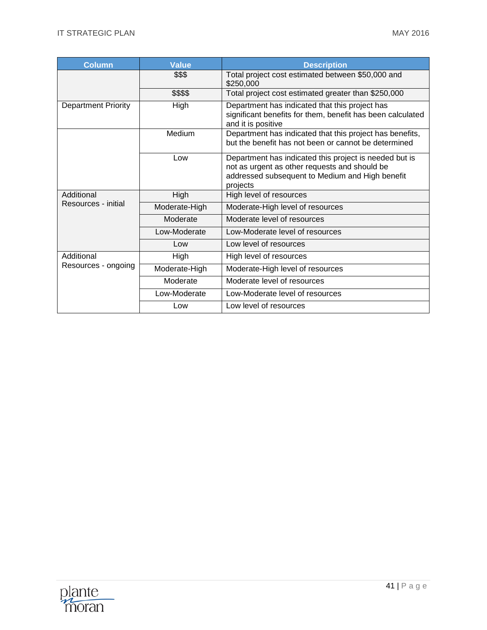| <b>Column</b>              | <b>Value</b>  | <b>Description</b>                                                                                                                                                     |
|----------------------------|---------------|------------------------------------------------------------------------------------------------------------------------------------------------------------------------|
|                            | \$\$\$        | Total project cost estimated between \$50,000 and<br>\$250,000                                                                                                         |
|                            | \$\$\$\$      | Total project cost estimated greater than \$250,000                                                                                                                    |
| <b>Department Priority</b> | High          | Department has indicated that this project has<br>significant benefits for them, benefit has been calculated<br>and it is positive                                     |
|                            | Medium        | Department has indicated that this project has benefits,<br>but the benefit has not been or cannot be determined                                                       |
|                            | Low           | Department has indicated this project is needed but is<br>not as urgent as other requests and should be<br>addressed subsequent to Medium and High benefit<br>projects |
| Additional                 | High          | High level of resources                                                                                                                                                |
| Resources - initial        | Moderate-High | Moderate-High level of resources                                                                                                                                       |
|                            | Moderate      | Moderate level of resources                                                                                                                                            |
|                            | Low-Moderate  | Low-Moderate level of resources                                                                                                                                        |
|                            | Low           | Low level of resources                                                                                                                                                 |
| Additional                 | High          | High level of resources                                                                                                                                                |
| Resources - ongoing        | Moderate-High | Moderate-High level of resources                                                                                                                                       |
|                            | Moderate      | Moderate level of resources                                                                                                                                            |
|                            | Low-Moderate  | Low-Moderate level of resources                                                                                                                                        |
|                            | Low           | Low level of resources                                                                                                                                                 |